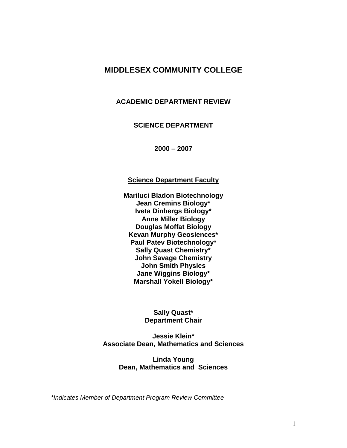# **MIDDLESEX COMMUNITY COLLEGE**

#### **ACADEMIC DEPARTMENT REVIEW**

# **SCIENCE DEPARTMENT**

**2000 – 2007**

#### **Science Department Faculty**

**Mariluci Bladon Biotechnology Jean Cremins Biology\* Iveta Dinbergs Biology\* Anne Miller Biology Douglas Moffat Biology Kevan Murphy Geosiences\* Paul Patev Biotechnology\* Sally Quast Chemistry\* John Savage Chemistry John Smith Physics Jane Wiggins Biology\* Marshall Yokell Biology\***

#### **Sally Quast\* Department Chair**

**Jessie Klein\* Associate Dean, Mathematics and Sciences**

> **Linda Young Dean, Mathematics and Sciences**

*\*Indicates Member of Department Program Review Committee*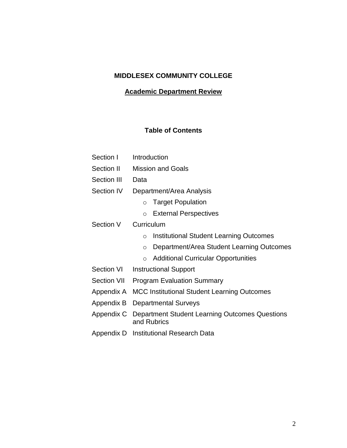# **MIDDLESEX COMMUNITY COLLEGE**

# **Academic Department Review**

# **Table of Contents**

| Section I          | Introduction                                                         |  |  |  |  |
|--------------------|----------------------------------------------------------------------|--|--|--|--|
| Section II         | <b>Mission and Goals</b>                                             |  |  |  |  |
| Section III        | Data                                                                 |  |  |  |  |
| Section IV         | Department/Area Analysis                                             |  |  |  |  |
|                    | <b>Target Population</b><br>$\circ$                                  |  |  |  |  |
|                    | <b>External Perspectives</b><br>$\circ$                              |  |  |  |  |
| Section V          | Curriculum                                                           |  |  |  |  |
|                    | <b>Institutional Student Learning Outcomes</b><br>$\circ$            |  |  |  |  |
|                    | Department/Area Student Learning Outcomes<br>$\circ$                 |  |  |  |  |
|                    | <b>Additional Curricular Opportunities</b><br>$\circ$                |  |  |  |  |
| <b>Section VI</b>  | <b>Instructional Support</b>                                         |  |  |  |  |
| <b>Section VII</b> | <b>Program Evaluation Summary</b>                                    |  |  |  |  |
| Appendix A         | <b>MCC Institutional Student Learning Outcomes</b>                   |  |  |  |  |
| Appendix B         | <b>Departmental Surveys</b>                                          |  |  |  |  |
| Appendix C         | <b>Department Student Learning Outcomes Questions</b><br>and Rubrics |  |  |  |  |
| Appendix D         | <b>Institutional Research Data</b>                                   |  |  |  |  |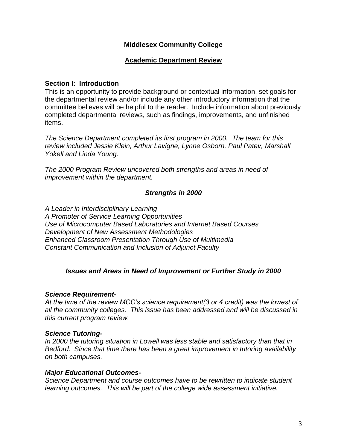# **Middlesex Community College**

# **Academic Department Review**

#### **Section I: Introduction**

This is an opportunity to provide background or contextual information, set goals for the departmental review and/or include any other introductory information that the committee believes will be helpful to the reader. Include information about previously completed departmental reviews, such as findings, improvements, and unfinished items.

*The Science Department completed its first program in 2000. The team for this review included Jessie Klein, Arthur Lavigne, Lynne Osborn, Paul Patev, Marshall Yokell and Linda Young.* 

*The 2000 Program Review uncovered both strengths and areas in need of improvement within the department.*

# *Strengths in 2000*

*A Leader in Interdisciplinary Learning A Promoter of Service Learning Opportunities Use of Microcomputer Based Laboratories and Internet Based Courses Development of New Assessment Methodologies Enhanced Classroom Presentation Through Use of Multimedia Constant Communication and Inclusion of Adjunct Faculty* 

# *Issues and Areas in Need of Improvement or Further Study in 2000*

#### *Science Requirement-*

*At the time of the review MCC's science requirement(3 or 4 credit) was the lowest of all the community colleges. This issue has been addressed and will be discussed in this current program review.*

#### *Science Tutoring-*

*In 2000 the tutoring situation in Lowell was less stable and satisfactory than that in Bedford. Since that time there has been a great improvement in tutoring availability on both campuses.*

#### *Major Educational Outcomes-*

*Science Department and course outcomes have to be rewritten to indicate student learning outcomes. This will be part of the college wide assessment initiative.*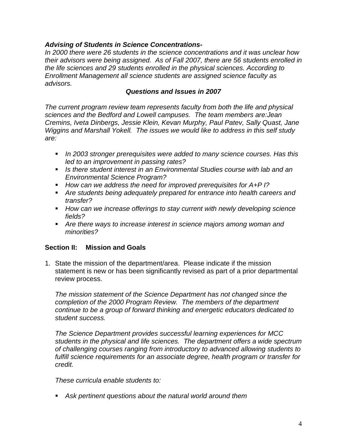# *Advising of Students in Science Concentrations-*

*In 2000 there were 26 students in the science concentrations and it was unclear how their advisors were being assigned. As of Fall 2007, there are 56 students enrolled in the life sciences and 29 students enrolled in the physical sciences. According to Enrollment Management all science students are assigned science faculty as advisors.* 

# *Questions and Issues in 2007*

*The current program review team represents faculty from both the life and physical sciences and the Bedford and Lowell campuses. The team members are:Jean Cremins, Iveta Dinbergs, Jessie Klein, Kevan Murphy, Paul Patev, Sally Quast, Jane Wiggins and Marshall Yokell. The issues we would like to address in this self study are:* 

- *In 2003 stronger prerequisites were added to many science courses. Has this led to an improvement in passing rates?*
- *Is there student interest in an Environmental Studies course with lab and an Environmental Science Program?*
- How can we address the need for improved prerequisites for A+P I?
- *Are students being adequately prepared for entrance into health careers and transfer?*
- *How can we increase offerings to stay current with newly developing science fields?*
- *Are there ways to increase interest in science majors among woman and minorities?*

# **Section II: Mission and Goals**

1. State the mission of the department/area. Please indicate if the mission statement is new or has been significantly revised as part of a prior departmental review process.

*The mission statement of the Science Department has not changed since the completion of the 2000 Program Review. The members of the department continue to be a group of forward thinking and energetic educators dedicated to student success.* 

*The Science Department provides successful learning experiences for MCC students in the physical and life sciences. The department offers a wide spectrum of challenging courses ranging from introductory to advanced allowing students to*  fulfill science requirements for an associate degree, health program or transfer for *credit.* 

*These curricula enable students to:* 

*Ask pertinent questions about the natural world around them*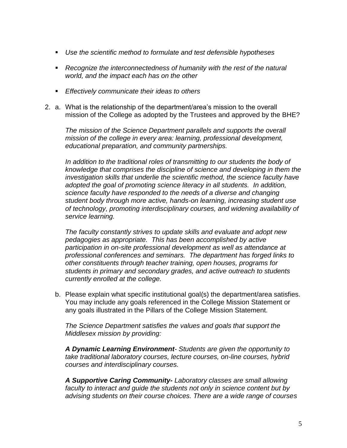- *Use the scientific method to formulate and test defensible hypotheses*
- **•** Recognize the interconnectedness of humanity with the rest of the natural *world, and the impact each has on the other*
- *Effectively communicate their ideas to others*
- 2. a. What is the relationship of the department/area"s mission to the overall mission of the College as adopted by the Trustees and approved by the BHE?

*The mission of the Science Department parallels and supports the overall mission of the college in every area: learning, professional development, educational preparation, and community partnerships.*

*In addition to the traditional roles of transmitting to our students the body of knowledge that comprises the discipline of science and developing in them the investigation skills that underlie the scientific method, the science faculty have adopted the goal of promoting science literacy in all students. In addition, science faculty have responded to the needs of a diverse and changing student body through more active, hands-on learning, increasing student use of technology, promoting interdisciplinary courses, and widening availability of service learning.*

*The faculty constantly strives to update skills and evaluate and adopt new pedagogies as appropriate. This has been accomplished by active participation in on-site professional development as well as attendance at professional conferences and seminars. The department has forged links to other constituents through teacher training, open houses, programs for students in primary and secondary grades, and active outreach to students currently enrolled at the college.*

b. Please explain what specific institutional goal(s) the department/area satisfies. You may include any goals referenced in the College Mission Statement or any goals illustrated in the Pillars of the College Mission Statement.

*The Science Department satisfies the values and goals that support the Middlesex mission by providing:*

*A Dynamic Learning Environment- Students are given the opportunity to take traditional laboratory courses, lecture courses, on-line courses, hybrid courses and interdisciplinary courses.*

*A Supportive Caring Community- Laboratory classes are small allowing faculty to interact and guide the students not only in science content but by advising students on their course choices. There are a wide range of courses*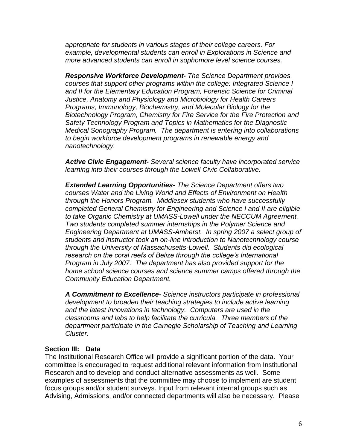*appropriate for students in various stages of their college careers. For example, developmental students can enroll in Explorations in Science and more advanced students can enroll in sophomore level science courses.*

*Responsive Workforce Development- The Science Department provides courses that support other programs within the college: Integrated Science I and II for the Elementary Education Program, Forensic Science for Criminal Justice, Anatomy and Physiology and Microbiology for Health Careers Programs, Immunology, Biochemistry, and Molecular Biology for the Biotechnology Program, Chemistry for Fire Service for the Fire Protection and Safety Technology Program and Topics in Mathematics for the Diagnostic Medical Sonography Program. The department is entering into collaborations to begin workforce development programs in renewable energy and nanotechnology.*

*Active Civic Engagement- Several science faculty have incorporated service learning into their courses through the Lowell Civic Collaborative.* 

*Extended Learning Opportunities- The Science Department offers two courses Water and the Living World and Effects of Environment on Health through the Honors Program. Middlesex students who have successfully completed General Chemistry for Engineering and Science I and II are eligible to take Organic Chemistry at UMASS-Lowell under the NECCUM Agreement. Two students completed summer internships in the Polymer Science and Engineering Department at UMASS-Amherst. In spring 2007 a select group of students and instructor took an on-line Introduction to Nanotechnology course through the University of Massachusetts-Lowell. Students did ecological research on the coral reefs of Belize through the college's International Program in July 2007. The department has also provided support for the home school science courses and science summer camps offered through the Community Education Department.*

*A Commitment to Excellence- Science instructors participate in professional development to broaden their teaching strategies to include active learning and the latest innovations in technology. Computers are used in the classrooms and labs to help facilitate the curricula. Three members of the department participate in the Carnegie Scholarship of Teaching and Learning Cluster.* 

#### **Section III: Data**

The Institutional Research Office will provide a significant portion of the data. Your committee is encouraged to request additional relevant information from Institutional Research and to develop and conduct alternative assessments as well. Some examples of assessments that the committee may choose to implement are student focus groups and/or student surveys. Input from relevant internal groups such as Advising, Admissions, and/or connected departments will also be necessary. Please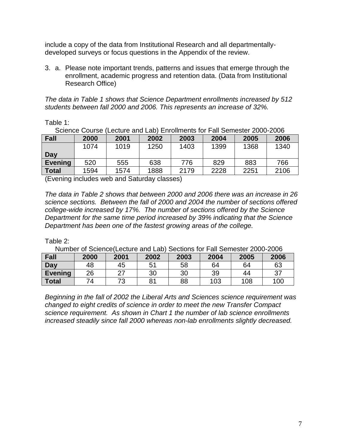include a copy of the data from Institutional Research and all departmentallydeveloped surveys or focus questions in the Appendix of the review.

3. a. Please note important trends, patterns and issues that emerge through the enrollment, academic progress and retention data. (Data from Institutional Research Office)

*The data in Table 1 shows that Science Department enrollments increased by 512 students between fall 2000 and 2006. This represents an increase of 32%.* 

Table 1:

Science Course (Lecture and Lab) Enrollments for Fall Semester 2000-2006

| Fall           | 2000 | 2001 | 2002 | 2003 | 2004 | 2005 | 2006 |
|----------------|------|------|------|------|------|------|------|
|                | 1074 | 1019 | 1250 | 1403 | 1399 | 1368 | 1340 |
| Day            |      |      |      |      |      |      |      |
| <b>Evening</b> | 520  | 555  | 638  | 776  | 829  | 883  | 766  |
| <b>Total</b>   | 1594 | 1574 | 1888 | 2179 | 2228 | 2251 | 2106 |

(Evening includes web and Saturday classes)

*The data in Table 2 shows that between 2000 and 2006 there was an increase in 26 science sections. Between the fall of 2000 and 2004 the number of sections offered college-wide increased by 17%. The number of sections offered by the Science Department for the same time period increased by 39% indicating that the Science Department has been one of the fastest growing areas of the college.*

Table 2:

Number of Science(Lecture and Lab) Sections for Fall Semester 2000-2006

| Fall           | 2000 | 2001 | 2002           | 2003 | 2004 | 2005 | 2006 |
|----------------|------|------|----------------|------|------|------|------|
| Day            | 48   | 45   | 5 <sup>′</sup> | 58   | 64   | 64   | 63   |
| <b>Evening</b> | 26   |      | 30             | 30   | 39   | 44   | 37   |
| <b>Total</b>   | 74   | 73   | 81             | 88   | 103  | 108  | 100  |

*Beginning in the fall of 2002 the Liberal Arts and Sciences science requirement was changed to eight credits of science in order to meet the new Transfer Compact science requirement. As shown in Chart 1 the number of lab science enrollments increased steadily since fall 2000 whereas non-lab enrollments slightly decreased.*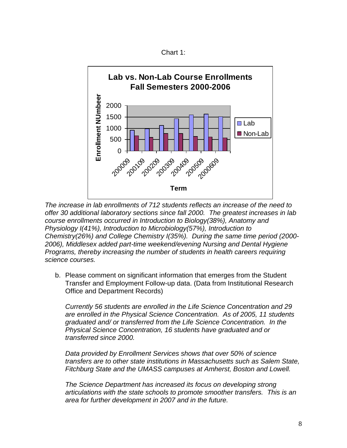Chart 1:



*The increase in lab enrollments of 712 students reflects an increase of the need to offer 30 additional laboratory sections since fall 2000. The greatest increases in lab course enrollments occurred in Introduction to Biology(38%), Anatomy and Physiology I(41%), Introduction to Microbiology(57%), Introduction to Chemistry(26%) and College Chemistry I(35%). During the same time period (2000- 2006), Middlesex added part-time weekend/evening Nursing and Dental Hygiene Programs, thereby increasing the number of students in health careers requiring science courses.*

b. Please comment on significant information that emerges from the Student Transfer and Employment Follow-up data. (Data from Institutional Research Office and Department Records)

*Currently 56 students are enrolled in the Life Science Concentration and 29 are enrolled in the Physical Science Concentration. As of 2005, 11 students graduated and/ or transferred from the Life Science Concentration. In the Physical Science Concentration, 16 students have graduated and or transferred since 2000.*

*Data provided by Enrollment Services shows that over 50% of science transfers are to other state institutions in Massachusetts such as Salem State, Fitchburg State and the UMASS campuses at Amherst, Boston and Lowell.*

*The Science Department has increased its focus on developing strong articulations with the state schools to promote smoother transfers. This is an area for further development in 2007 and in the future.*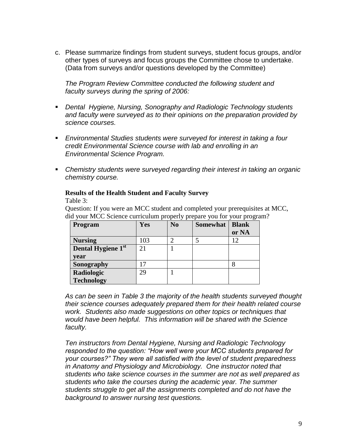c. Please summarize findings from student surveys, student focus groups, and/or other types of surveys and focus groups the Committee chose to undertake. (Data from surveys and/or questions developed by the Committee)

*The Program Review Committee conducted the following student and faculty surveys during the spring of 2006:*

- *Dental Hygiene, Nursing, Sonography and Radiologic Technology students and faculty were surveyed as to their opinions on the preparation provided by science courses.*
- *Environmental Studies students were surveyed for interest in taking a four credit Environmental Science course with lab and enrolling in an Environmental Science Program.*
- *Chemistry students were surveyed regarding their interest in taking an organic chemistry course.*

# **Results of the Health Student and Faculty Survey**

Table 3:

Question: If you were an MCC student and completed your prerequisites at MCC, did your MCC Science curriculum properly prepare you for your program?

| Program                        | Yes | N <sub>0</sub> | <b>Somewhat</b> | <b>Blank</b> |
|--------------------------------|-----|----------------|-----------------|--------------|
|                                |     |                |                 | or NA        |
| <b>Nursing</b>                 | 103 | ◠              |                 |              |
| Dental Hygiene 1 <sup>st</sup> | 21  |                |                 |              |
| vear                           |     |                |                 |              |
| Sonography                     |     |                |                 | 8            |
| Radiologic                     | 29  |                |                 |              |
| <b>Technology</b>              |     |                |                 |              |

*As can be seen in Table 3 the majority of the health students surveyed thought their science courses adequately prepared them for their health related course work. Students also made suggestions on other topics or techniques that would have been helpful. This information will be shared with the Science faculty.*

*Ten instructors from Dental Hygiene, Nursing and Radiologic Technology responded to the question: "How well were your MCC students prepared for your courses?" They were all satisfied with the level of student preparedness in Anatomy and Physiology and Microbiology. One instructor noted that students who take science courses in the summer are not as well prepared as students who take the courses during the academic year. The summer students struggle to get all the assignments completed and do not have the background to answer nursing test questions.*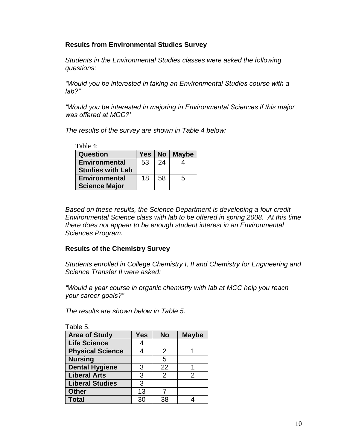# **Results from Environmental Studies Survey**

*Students in the Environmental Studies classes were asked the following questions:*

*"Would you be interested in taking an Environmental Studies course with a lab?"*

*"Would you be interested in majoring in Environmental Sciences if this major was offered at MCC?'*

*The results of the survey are shown in Table 4 below:*

| Table 4:                |     |                 |              |
|-------------------------|-----|-----------------|--------------|
| Question                | Yes | No <sub>1</sub> | <b>Maybe</b> |
| <b>Environmental</b>    | 53  | 24              |              |
| <b>Studies with Lab</b> |     |                 |              |
| <b>Environmental</b>    | 18  | 58              | 5            |
| <b>Science Major</b>    |     |                 |              |

*Based on these results, the Science Department is developing a four credit Environmental Science class with lab to be offered in spring 2008. At this time there does not appear to be enough student interest in an Environmental Sciences Program.*

# **Results of the Chemistry Survey**

*Students enrolled in College Chemistry I, II and Chemistry for Engineering and Science Transfer II were asked:*

*"Would a year course in organic chemistry with lab at MCC help you reach your career goals?"* 

*The results are shown below in Table 5.*

| Table 5.                |            |                |               |
|-------------------------|------------|----------------|---------------|
| <b>Area of Study</b>    | <b>Yes</b> | <b>No</b>      | <b>Maybe</b>  |
| <b>Life Science</b>     | 4          |                |               |
| <b>Physical Science</b> | 4          | 2              |               |
| <b>Nursing</b>          |            | 5              |               |
| <b>Dental Hygiene</b>   | 3          | 22             |               |
| <b>Liberal Arts</b>     | 3          | $\overline{2}$ | $\mathcal{P}$ |
| <b>Liberal Studies</b>  | 3          |                |               |
| <b>Other</b>            | 13         |                |               |
| <b>Total</b>            | 30         | 38             |               |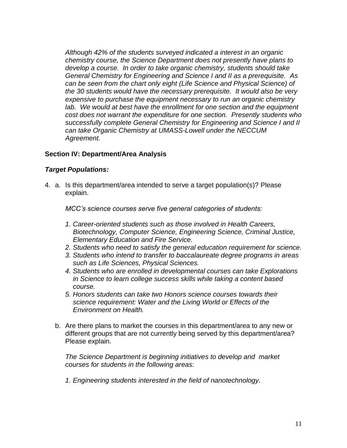*Although 42% of the students surveyed indicated a interest in an organic chemistry course, the Science Department does not presently have plans to develop a course. In order to take organic chemistry, students should take General Chemistry for Engineering and Science I and II as a prerequisite. As can be seen from the chart only eight (Life Science and Physical Science) of the 30 students would have the necessary prerequisite. It would also be very expensive to purchase the equipment necessary to run an organic chemistry lab. We would at best have the enrollment for one section and the equipment cost does not warrant the expenditure for one section. Presently students who successfully complete General Chemistry for Engineering and Science I and II can take Organic Chemistry at UMASS-Lowell under the NECCUM Agreement.*

# **Section IV: Department/Area Analysis**

# *Target Populations:*

4. a. Is this department/area intended to serve a target population(s)? Please explain.

*MCC's science courses serve five general categories of students:*

- *1. Career-oriented students such as those involved in Health Careers, Biotechnology, Computer Science, Engineering Science, Criminal Justice, Elementary Education and Fire Service.*
- *2. Students who need to satisfy the general education requirement for science.*
- *3. Students who intend to transfer to baccalaureate degree programs in areas such as Life Sciences, Physical Sciences.*
- *4. Students who are enrolled in developmental courses can take Explorations in Science to learn college success skills while taking a content based course.*
- *5. Honors students can take two Honors science courses towards their science requirement: Water and the Living World or Effects of the Environment on Health.*
- b. Are there plans to market the courses in this department/area to any new or different groups that are not currently being served by this department/area? Please explain.

*The Science Department is beginning initiatives to develop and market courses for students in the following areas:*

*1. Engineering students interested in the field of nanotechnology.*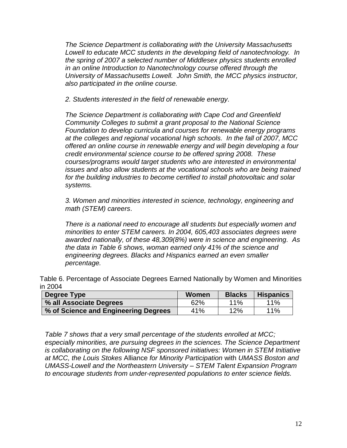*The Science Department is collaborating with the University Massachusetts Lowell to educate MCC students in the developing field of nanotechnology. In the spring of 2007 a selected number of Middlesex physics students enrolled in an online Introduction to Nanotechnology course offered through the University of Massachusetts Lowell. John Smith, the MCC physics instructor, also participated in the online course.*

*2. Students interested in the field of renewable energy.*

*The Science Department is collaborating with Cape Cod and Greenfield Community Colleges to submit a grant proposal to the National Science Foundation to develop curricula and courses for renewable energy programs at the colleges and regional vocational high schools. In the fall of 2007, MCC offered an online course in renewable energy and will begin developing a four credit environmental science course to be offered spring 2008. These courses/programs would target students who are interested in environmental issues and also allow students at the vocational schools who are being trained for the building industries to become certified to install photovoltaic and solar systems.*

*3. Women and minorities interested in science, technology, engineering and math (STEM) careers*.

*There is a national need to encourage all students but especially women and minorities to enter STEM careers. In 2004, 605,403 associates degrees were awarded nationally, of these 48,309(8%) were in science and engineering. As the data in Table 6 shows, woman earned only 41% of the science and engineering degrees. Blacks and Hispanics earned an even smaller percentage.*

Table 6. Percentage of Associate Degrees Earned Nationally by Women and Minorities in 2004

| Degree Type                          | Women | <b>Blacks</b> | <b>Hispanics</b> |
|--------------------------------------|-------|---------------|------------------|
| % all Associate Degrees              | 62%   | $11\%$        | 11%              |
| % of Science and Engineering Degrees | 41%   | 12%           | 11%              |

*Table 7 shows that a very small percentage of the students enrolled at MCC; especially minorities, are pursuing degrees in the sciences. The Science Department is collaborating on the following NSF sponsored initiatives: Women in STEM Initiative at MCC, the Louis Stokes* Alliance *for Minority Participation* with *UMASS Boston and UMASS-Lowell and the Northeastern University – STEM Talent Expansion Program to encourage students from under-represented populations to enter science fields.*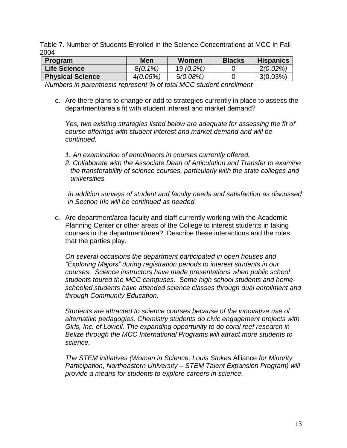Table 7. Number of Students Enrolled in the Science Concentrations at MCC in Fall 2004

| <b>Program</b>          | <b>Men</b> | Women       | <b>Blacks</b> | <b>Hispanics</b> |
|-------------------------|------------|-------------|---------------|------------------|
| <b>Life Science</b>     | $8(0.1\%)$ | $19(0.2\%)$ |               | $2(0.02\%)$      |
| <b>Physical Science</b> | 4(0.05%)   | 6(0.08%)    |               | $3(0.03\%)$      |

*Numbers in parenthesis represent % of total MCC student enrollment*

c. Are there plans to change or add to strategies currently in place to assess the department/area"s fit with student interest and market demand?

*Yes, two existing strategies listed below are adequate for assessing the fit of course offerings with student interest and market demand and will be continued.*

- *1. An examination of enrollments in courses currently offered.*
- *2. Collaborate with the Associate Dean of Articulation and Transfer to examine the transferability of science courses, particularly with the state colleges and universities.*

*In addition surveys of student and faculty needs and satisfaction as discussed in Section IIIc will be continued as needed.*

d. Are department/area faculty and staff currently working with the Academic Planning Center or other areas of the College to interest students in taking courses in the department/area? Describe these interactions and the roles that the parties play.

*On several occasions the department participated in open houses and "Exploring Majors" during registration periods to interest students in our courses. Science instructors have made presentations when public school students toured the MCC campuses. Some high school students and homeschooled students have attended science classes through dual enrollment and through Community Education.*

*Students are attracted to science courses because of the innovative use of alternative pedagogies. Chemistry students do civic engagement projects with Girls, Inc. of Lowell. The expanding opportunity to do coral reef research in Belize through the MCC International Programs will attract more students to science.* 

*The STEM initiatives (Woman in Science, Louis Stokes* Alliance *for Minority Participation*, *Northeastern University – STEM Talent Expansion Program) will provide a means for students to explore careers in science.*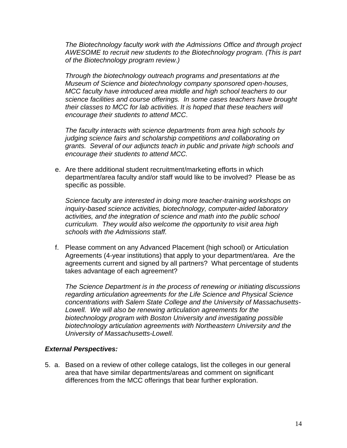*The Biotechnology faculty work with the Admissions Office and through project AWESOME to recruit new students to the Biotechnology program. (This is part of the Biotechnology program review.)* 

*Through the biotechnology outreach programs and presentations at the Museum of Science and biotechnology company sponsored open-houses, MCC faculty have introduced area middle and high school teachers to our science facilities and course offerings. In some cases teachers have brought their classes to MCC for lab activities. It is hoped that these teachers will encourage their students to attend MCC*.

*The faculty interacts with science departments from area high schools by judging science fairs and scholarship competitions and collaborating on grants. Several of our adjuncts teach in public and private high schools and encourage their students to attend MCC.*

e. Are there additional student recruitment/marketing efforts in which department/area faculty and/or staff would like to be involved? Please be as specific as possible.

*Science faculty are interested in doing more teacher-training workshops on inquiry-based science activities, biotechnology, computer-aided laboratory activities, and the integration of science and math into the public school curriculum. They would also welcome the opportunity to visit area high schools with the Admissions staff.*

f. Please comment on any Advanced Placement (high school) or Articulation Agreements (4-year institutions) that apply to your department/area. Are the agreements current and signed by all partners? What percentage of students takes advantage of each agreement?

*The Science Department is in the process of renewing or initiating discussions regarding articulation agreements for the Life Science and Physical Science concentrations with Salem State College and the University of Massachusetts-Lowell. We will also be renewing articulation agreements for the biotechnology program with Boston University and investigating possible biotechnology articulation agreements with Northeastern University and the University of Massachusetts-Lowell.*

# *External Perspectives:*

5. a. Based on a review of other college catalogs, list the colleges in our general area that have similar departments/areas and comment on significant differences from the MCC offerings that bear further exploration.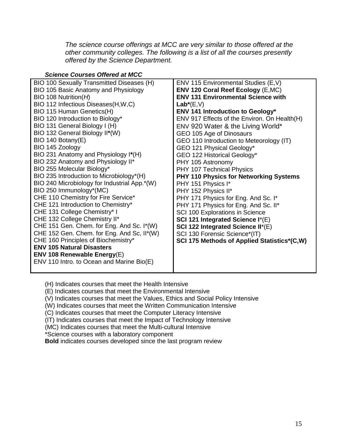*The science course offerings at MCC are very similar to those offered at the other community colleges. The following is a list of all the courses presently offered by the Science Department.* 

| <b>Science Courses Offered at MCC</b>        |                                               |
|----------------------------------------------|-----------------------------------------------|
| BIO 100 Sexually Transmitted Diseases (H)    | ENV 115 Environmental Studies (E,V)           |
| BIO 105 Basic Anatomy and Physiology         | <b>ENV 120 Coral Reef Ecology (E,MC)</b>      |
| $BIO$ 108 Nutrition( $H$ )                   | <b>ENV 131 Environmental Science with</b>     |
| BIO 112 Infectious Diseases(H,W,C)           | $Lab^*(E,V)$                                  |
| BIO 115 Human Genetics(H)                    | <b>ENV 141 Introduction to Geology*</b>       |
| BIO 120 Introduction to Biology*             | ENV 917 Effects of the Environ. On Health(H)  |
| BIO 131 General Biology I (H)                | ENV 920 Water & the Living World*             |
| BIO 132 General Biology II*(W)               | GEO 105 Age of Dinosaurs                      |
| BIO 140 Botany(E)                            | GEO 110 Introduction to Meteorology (IT)      |
| BIO 145 Zoology                              | GEO 121 Physical Geology*                     |
| BIO 231 Anatomy and Physiology I*(H)         | GEO 122 Historical Geology*                   |
| BIO 232 Anatomy and Physiology II*           | PHY 105 Astronomy                             |
| BIO 255 Molecular Biology*                   | PHY 107 Technical Physics                     |
| BIO 235 Introduction to Microbiology*(H)     | <b>PHY 110 Physics for Networking Systems</b> |
| BIO 240 Microbiology for Industrial App.*(W) | PHY 151 Physics I*                            |
| BIO 250 Immunology*(MC)                      | PHY 152 Physics II*                           |
| CHE 110 Chemistry for Fire Service*          | PHY 171 Physics for Eng. And Sc. I*           |
| CHE 121 Introduction to Chemistry*           | PHY 171 Physics for Eng. And Sc. II*          |
| CHE 131 College Chemistry* I                 | SCI 100 Explorations in Science               |
| CHE 132 College Chemistry II*                | SCI 121 Integrated Science I*(E)              |
| CHE 151 Gen. Chem. for Eng. And Sc. I*(W)    | SCI 122 Integrated Science II*(E)             |
| CHE 152 Gen. Chem. for Eng. And Sc, II*(W)   | SCI 130 Forensic Science*(IT)                 |
| CHE 160 Principles of Biochemistry*          | SCI 175 Methods of Applied Statistics*(C,W)   |
| <b>ENV 105 Natural Disasters</b>             |                                               |
| ENV 108 Renewable Energy(E)                  |                                               |
| ENV 110 Intro. to Ocean and Marine Bio(E)    |                                               |
|                                              |                                               |

(H) Indicates courses that meet the Health Intensive

(E) Indicates courses that meet the Environmental Intensive

(V) Indicates courses that meet the Values, Ethics and Social Policy Intensive

(W) Indicates courses that meet the Written Communication Intensive

(C) Indicates courses that meet the Computer Literacy Intensive

(IT) Indicates courses that meet the Impact of Technology Intensive

(MC) Indicates courses that meet the Multi-cultural Intensive

\*Science courses with a laboratory component

**Bold** indicates courses developed since the last program review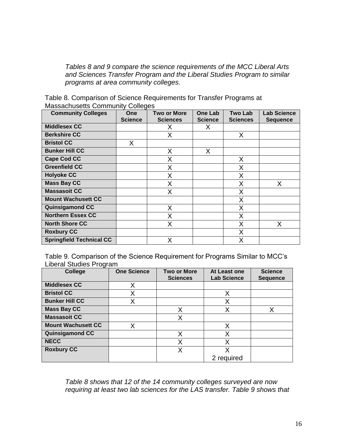*Tables 8 and 9 compare the science requirements of the MCC Liberal Arts and Sciences Transfer Program and the Liberal Studies Program to similar programs at area community colleges.*

Table 8. Comparison of Science Requirements for Transfer Programs at Massachusetts Community Colleges

| <b>Community Colleges</b>       | <b>One</b><br><b>Science</b> | Two or More<br><b>Sciences</b> | <b>One Lab</b><br><b>Science</b> | Two Lab<br><b>Sciences</b> | <b>Lab Science</b><br><b>Sequence</b> |
|---------------------------------|------------------------------|--------------------------------|----------------------------------|----------------------------|---------------------------------------|
| <b>Middlesex CC</b>             |                              | х                              | X                                |                            |                                       |
| <b>Berkshire CC</b>             |                              | X                              |                                  | X                          |                                       |
| <b>Bristol CC</b>               | X                            |                                |                                  |                            |                                       |
| <b>Bunker Hill CC</b>           |                              | Χ                              | Х                                |                            |                                       |
| <b>Cape Cod CC</b>              |                              | Χ                              |                                  | X                          |                                       |
| <b>Greenfield CC</b>            |                              | Χ                              |                                  | Χ                          |                                       |
| <b>Holyoke CC</b>               |                              | X                              |                                  | X                          |                                       |
| <b>Mass Bay CC</b>              |                              | Χ                              |                                  | Χ                          | X                                     |
| <b>Massasoit CC</b>             |                              | Χ                              |                                  | Χ                          |                                       |
| <b>Mount Wachusett CC</b>       |                              |                                |                                  | Χ                          |                                       |
| <b>Quinsigamond CC</b>          |                              | X                              |                                  | X                          |                                       |
| <b>Northern Essex CC</b>        |                              | Χ                              |                                  | Χ                          |                                       |
| <b>North Shore CC</b>           |                              | X                              |                                  | Χ                          | Χ                                     |
| <b>Roxbury CC</b>               |                              |                                |                                  | X                          |                                       |
| <b>Springfield Technical CC</b> |                              | Χ                              |                                  | X                          |                                       |

Table 9. Comparison of the Science Requirement for Programs Similar to MCC"s Liberal Studies Program

| ັ<br><b>College</b>       | <b>One Science</b> | <b>Two or More</b><br><b>Sciences</b> | At Least one<br><b>Lab Science</b> | <b>Science</b><br><b>Sequence</b> |
|---------------------------|--------------------|---------------------------------------|------------------------------------|-----------------------------------|
| <b>Middlesex CC</b>       | Χ                  |                                       |                                    |                                   |
| <b>Bristol CC</b>         | Χ                  |                                       | Χ                                  |                                   |
| <b>Bunker Hill CC</b>     |                    |                                       | X                                  |                                   |
| <b>Mass Bay CC</b>        |                    | Χ                                     | X                                  | Χ                                 |
| <b>Massasoit CC</b>       |                    | X                                     |                                    |                                   |
| <b>Mount Wachusett CC</b> |                    |                                       | Χ                                  |                                   |
| <b>Quinsigamond CC</b>    |                    | Χ                                     | X                                  |                                   |
| <b>NECC</b>               |                    | X                                     | X                                  |                                   |
| <b>Roxbury CC</b>         |                    | X                                     | x                                  |                                   |
|                           |                    |                                       | 2 required                         |                                   |

*Table 8 shows that 12 of the 14 community colleges surveyed are now requiring at least two lab sciences for the LAS transfer. Table 9 shows that*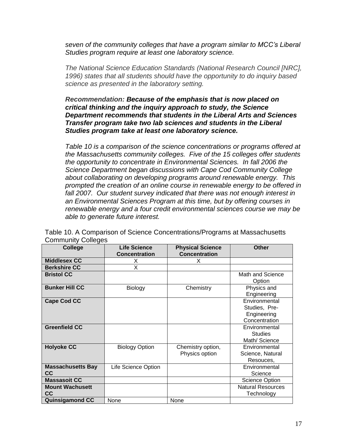*seven of the community colleges that have a program similar to MCC's Liberal Studies program require at least one laboratory science.* 

*The National Science Education Standards (National Research Council [NRC], 1996) states that all students should have the opportunity to do inquiry based science as presented in the laboratory setting.* 

*Recommendation: Because of the emphasis that is now placed on critical thinking and the inquiry approach to study, the Science Department recommends that students in the Liberal Arts and Sciences Transfer program take two lab sciences and students in the Liberal Studies program take at least one laboratory science.*

*Table 10 is a comparison of the science concentrations or programs offered at the Massachusetts community colleges. Five of the 15 colleges offer students the opportunity to concentrate in Environmental Sciences. In fall 2006 the Science Department began discussions with Cape Cod Community College about collaborating on developing programs around renewable energy. This prompted the creation of an online course in renewable energy to be offered in fall 2007. Our student survey indicated that there was not enough interest in an Environmental Sciences Program at this time, but by offering courses in renewable energy and a four credit environmental sciences course we may be able to generate future interest.*

| <b>College</b>           | <b>Life Science</b>   | <b>Physical Science</b> | <b>Other</b>             |
|--------------------------|-----------------------|-------------------------|--------------------------|
|                          | <b>Concentration</b>  | <b>Concentration</b>    |                          |
| <b>Middlesex CC</b>      | X                     | X                       |                          |
| <b>Berkshire CC</b>      | X                     |                         |                          |
| <b>Bristol CC</b>        |                       |                         | Math and Science         |
|                          |                       |                         | Option                   |
| <b>Bunker Hill CC</b>    | Biology               | Chemistry               | Physics and              |
|                          |                       |                         | Engineering              |
| <b>Cape Cod CC</b>       |                       |                         | Environmental            |
|                          |                       |                         | Studies, Pre-            |
|                          |                       |                         | Engineering              |
|                          |                       |                         | Concentration            |
| <b>Greenfield CC</b>     |                       |                         | Environmental            |
|                          |                       |                         | <b>Studies</b>           |
|                          |                       |                         | Math/ Science            |
| <b>Holyoke CC</b>        | <b>Biology Option</b> | Chemistry option,       | Environmental            |
|                          |                       | Physics option          | Science, Natural         |
|                          |                       |                         | Resouces,                |
| <b>Massachusetts Bay</b> | Life Science Option   |                         | Environmental            |
| <b>CC</b>                |                       |                         | Science                  |
| <b>Massasoit CC</b>      |                       |                         | <b>Science Option</b>    |
| <b>Mount Wachusett</b>   |                       |                         | <b>Natural Resources</b> |
| CC.                      |                       |                         | Technology               |
| <b>Quinsigamond CC</b>   | None                  | None                    |                          |

Table 10. A Comparison of Science Concentrations/Programs at Massachusetts Community Colleges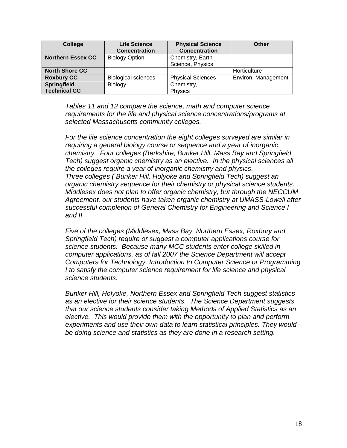| College                  | <b>Life Science</b><br><b>Concentration</b> | <b>Physical Science</b><br><b>Concentration</b> | Other               |
|--------------------------|---------------------------------------------|-------------------------------------------------|---------------------|
| <b>Northern Essex CC</b> | <b>Biology Option</b>                       | Chemistry, Earth                                |                     |
|                          |                                             | Science, Physics                                |                     |
| <b>North Shore CC</b>    |                                             |                                                 | Horticulture        |
| <b>Roxbury CC</b>        | <b>Biological sciences</b>                  | <b>Physical Sciences</b>                        | Environ. Management |
| <b>Springfield</b>       | <b>Biology</b>                              | Chemistry,                                      |                     |
| <b>Technical CC</b>      |                                             | Physics                                         |                     |

*Tables 11 and 12 compare the science, math and computer science requirements for the life and physical science concentrations/programs at selected Massachusetts community colleges.* 

*For the life science concentration the eight colleges surveyed are similar in requiring a general biology course or sequence and a year of inorganic chemistry. Four colleges (Berkshire, Bunker Hill, Mass Bay and Springfield Tech) suggest organic chemistry as an elective. In the physical sciences all the colleges require a year of inorganic chemistry and physics. Three colleges ( Bunker Hill, Holyoke and Springfield Tech) suggest an organic chemistry sequence for their chemistry or physical science students. Middlesex does not plan to offer organic chemistry, but through the NECCUM Agreement, our students have taken organic chemistry at UMASS-Lowell after successful completion of General Chemistry for Engineering and Science I and II.*

*Five of the colleges (Middlesex, Mass Bay, Northern Essex, Roxbury and Springfield Tech) require or suggest a computer applications course for science students. Because many MCC students enter college skilled in computer applications, as of fall 2007 the Science Department will accept Computers for Technology, Introduction to Computer Science or Programming I to satisfy the computer science requirement for life science and physical science students.* 

*Bunker Hill, Holyoke, Northern Essex and Springfield Tech suggest statistics as an elective for their science students. The Science Department suggests that our science students consider taking Methods of Applied Statistics as an elective. This would provide them with the opportunity to plan and perform experiments and use their own data to learn statistical principles. They would be doing science and statistics as they are done in a research setting.*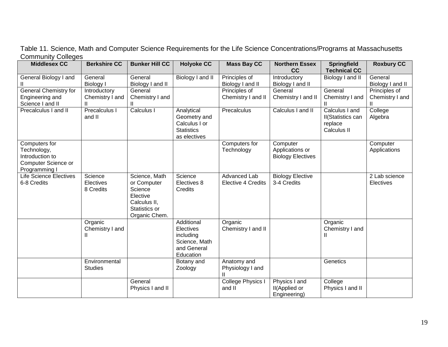| <b>Middlesex CC</b>           | <b>Berkshire CC</b>     | <b>Bunker Hill CC</b>    | <b>Holyoke CC</b>          | <b>Mass Bay CC</b>       | <b>Northern Essex</b>    | <b>Springfield</b>                   | <b>Roxbury CC</b> |
|-------------------------------|-------------------------|--------------------------|----------------------------|--------------------------|--------------------------|--------------------------------------|-------------------|
|                               |                         |                          |                            |                          | cc                       | <b>Technical CC</b>                  |                   |
| General Biology I and         | General                 | General                  | Biology I and II           | Principles of            | Introductory             | Biology I and II                     | General           |
|                               | Biology I               | Biology I and II         |                            | Biology I and II         | Biology I and II         |                                      | Biology I and II  |
| <b>General Chemistry for</b>  | Introductory            | General                  |                            | Principles of            | General                  | General                              | Principles of     |
| Engineering and               | Chemistry I and         | Chemistry I and          |                            | Chemistry I and II       | Chemistry I and II       | Chemistry I and                      | Chemistry I and   |
| Science I and II              | $\mathsf{I}$            |                          |                            |                          |                          |                                      |                   |
| Precalculus I and II          | Precalculus I<br>and II | Calculus I               | Analytical<br>Geometry and | Precalculus              | Calculus I and II        | Calculus I and                       | College           |
|                               |                         |                          | Calculus I or              |                          |                          | <b>II</b> (Statistics can<br>replace | Algebra           |
|                               |                         |                          | <b>Statistics</b>          |                          |                          | Calculus II                          |                   |
|                               |                         |                          | as electives               |                          |                          |                                      |                   |
| Computers for                 |                         |                          |                            | Computers for            | Computer                 |                                      | Computer          |
| Technology,                   |                         |                          |                            | Technology               | Applications or          |                                      | Applications      |
| Introduction to               |                         |                          |                            |                          | <b>Biology Electives</b> |                                      |                   |
| Computer Science or           |                         |                          |                            |                          |                          |                                      |                   |
| Programming I                 |                         |                          |                            |                          |                          |                                      |                   |
| <b>Life Science Electives</b> | Science                 | Science, Math            | Science                    | <b>Advanced Lab</b>      | <b>Biology Elective</b>  |                                      | 2 Lab science     |
| 6-8 Credits                   | Electives               | or Computer              | Electives 8                | Elective 4 Credits       | 3-4 Credits              |                                      | Electives         |
|                               | 8 Credits               | Science                  | Credits                    |                          |                          |                                      |                   |
|                               |                         | Elective<br>Calculus II, |                            |                          |                          |                                      |                   |
|                               |                         | Statistics or            |                            |                          |                          |                                      |                   |
|                               |                         | Organic Chem.            |                            |                          |                          |                                      |                   |
|                               | Organic                 |                          | Additional                 | Organic                  |                          | Organic                              |                   |
|                               | Chemistry I and         |                          | Electives                  | Chemistry I and II       |                          | Chemistry I and                      |                   |
|                               | Ш                       |                          | including                  |                          |                          | Ш                                    |                   |
|                               |                         |                          | Science, Math              |                          |                          |                                      |                   |
|                               |                         |                          | and General                |                          |                          |                                      |                   |
|                               |                         |                          | Education                  |                          |                          |                                      |                   |
|                               | Environmental           |                          | Botany and                 | Anatomy and              |                          | Genetics                             |                   |
|                               | <b>Studies</b>          |                          | Zoology                    | Physiology I and         |                          |                                      |                   |
|                               |                         |                          |                            |                          |                          |                                      |                   |
|                               |                         | General                  |                            | <b>College Physics I</b> | Physics I and            | College                              |                   |
|                               |                         | Physics I and II         |                            | and II                   | II(Applied or            | Physics I and II                     |                   |
|                               |                         |                          |                            |                          | Engineering)             |                                      |                   |

Table 11. Science, Math and Computer Science Requirements for the Life Science Concentrations/Programs at Massachusetts Community Colleges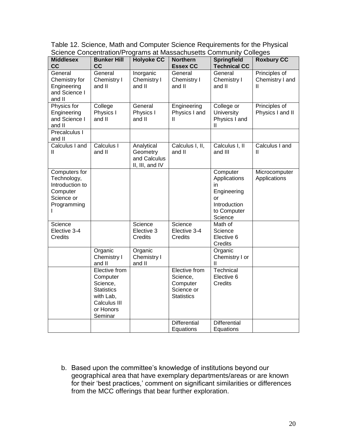| <b>Middlesex</b>                                                                         | <b>Bunker Hill</b>                                                                                              | <b>Holyoke CC</b>                                         | <b>Northern</b>                                                          | <b>Springfield</b>                                                                            | <b>Roxbury CC</b>                     |
|------------------------------------------------------------------------------------------|-----------------------------------------------------------------------------------------------------------------|-----------------------------------------------------------|--------------------------------------------------------------------------|-----------------------------------------------------------------------------------------------|---------------------------------------|
| cc                                                                                       | cc                                                                                                              |                                                           | <b>Essex CC</b>                                                          | <b>Technical CC</b>                                                                           |                                       |
| General<br>Chemistry for<br>Engineering<br>and Science I<br>and II                       | General<br>Chemistry I<br>and II                                                                                | Inorganic<br>Chemistry I<br>and II                        | General<br>Chemistry I<br>and II                                         | General<br>Chemistry I<br>and II                                                              | Principles of<br>Chemistry I and<br>Ш |
| Physics for<br>Engineering<br>and Science I<br>and II                                    | College<br>Physics I<br>and II                                                                                  | General<br>Physics I<br>and II                            | Engineering<br>Physics I and<br>Ш                                        | College or<br><b>University</b><br>Physics I and<br>Ш                                         | Principles of<br>Physics I and II     |
| Precalculus I<br>and II                                                                  |                                                                                                                 |                                                           |                                                                          |                                                                                               |                                       |
| Calculus I and<br>Ш                                                                      | Calculus I<br>and II                                                                                            | Analytical<br>Geometry<br>and Calculus<br>II, III, and IV | Calculus I, II,<br>and II                                                | Calculus I, II<br>and III                                                                     | Calculus I and<br>Ш                   |
| Computers for<br>Technology,<br>Introduction to<br>Computer<br>Science or<br>Programming |                                                                                                                 |                                                           |                                                                          | Computer<br>Applications<br>in<br>Engineering<br>or<br>Introduction<br>to Computer<br>Science | Microcomputer<br>Applications         |
| Science<br>Elective 3-4<br><b>Credits</b>                                                |                                                                                                                 | Science<br>Elective 3<br><b>Credits</b>                   | Science<br>Elective 3-4<br><b>Credits</b>                                | Math of<br>Science<br>Elective 6<br>Credits                                                   |                                       |
|                                                                                          | Organic<br>Chemistry I<br>and II                                                                                | Organic<br>Chemistry I<br>and II                          |                                                                          | Organic<br>Chemistry I or<br>Ш                                                                |                                       |
|                                                                                          | Elective from<br>Computer<br>Science,<br><b>Statistics</b><br>with Lab,<br>Calculus III<br>or Honors<br>Seminar |                                                           | Elective from<br>Science,<br>Computer<br>Science or<br><b>Statistics</b> | Technical<br>Elective 6<br>Credits                                                            |                                       |
|                                                                                          |                                                                                                                 |                                                           | <b>Differential</b><br>Equations                                         | Differential<br>Equations                                                                     |                                       |

Table 12. Science, Math and Computer Science Requirements for the Physical Science Concentration/Programs at Massachusetts Community Colleges

b. Based upon the committee"s knowledge of institutions beyond our geographical area that have exemplary departments/areas or are known for their 'best practices,' comment on significant similarities or differences from the MCC offerings that bear further exploration.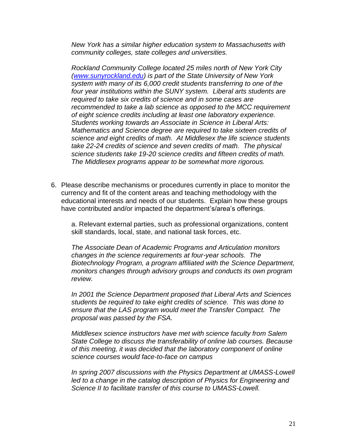*New York has a similar higher education system to Massachusetts with community colleges, state colleges and universities.*

*Rockland Community College located 25 miles north of New York City [\(www.sunyrockland.edu\)](http://www.sunyrockland.edu/) is part of the State University of New York system with many of its 6,000 credit students transferring to one of the four year institutions within the SUNY system. Liberal arts students are required to take six credits of science and in some cases are recommended to take a lab science as opposed to the MCC requirement of eight science credits including at least one laboratory experience. Students working towards an Associate in Science in Liberal Arts: Mathematics and Science degree are required to take sixteen credits of science and eight credits of math. At Middlesex the life science students take 22-24 credits of science and seven credits of math. The physical science students take 19-20 science credits and fifteen credits of math. The Middlesex programs appear to be somewhat more rigorous.*

6. Please describe mechanisms or procedures currently in place to monitor the currency and fit of the content areas and teaching methodology with the educational interests and needs of our students. Explain how these groups have contributed and/or impacted the department's/area's offerings.

a. Relevant external parties, such as professional organizations, content skill standards, local, state, and national task forces, etc.

*The Associate Dean of Academic Programs and Articulation monitors changes in the science requirements at four-year schools. The Biotechnology Program, a program affiliated with the Science Department, monitors changes through advisory groups and conducts its own program review.*

*In 2001 the Science Department proposed that Liberal Arts and Sciences students be required to take eight credits of science. This was done to ensure that the LAS program would meet the Transfer Compact. The proposal was passed by the FSA.*

*Middlesex science instructors have met with science faculty from Salem State College to discuss the transferability of online lab courses. Because of this meeting, it was decided that the laboratory component of online science courses would face-to-face on campus*

*In spring 2007 discussions with the Physics Department at UMASS-Lowell led to a change in the catalog description of Physics for Engineering and Science II to facilitate transfer of this course to UMASS-Lowell.*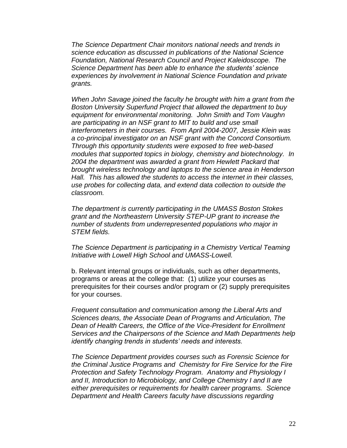*The Science Department Chair monitors national needs and trends in science education as discussed in publications of the National Science Foundation, National Research Council and Project Kaleidoscope. The Science Department has been able to enhance the students' science experiences by involvement in National Science Foundation and private grants.*

*When John Savage joined the faculty he brought with him a grant from the Boston University Superfund Project that allowed the department to buy equipment for environmental monitoring. John Smith and Tom Vaughn are participating in an NSF grant to MIT to build and use small interferometers in their courses. From April 2004-2007, Jessie Klein was a co-principal investigator on an NSF grant with the Concord Consortium. Through this opportunity students were exposed to free web-based modules that supported topics in biology, chemistry and biotechnology. In 2004 the department was awarded a grant from Hewlett Packard that brought wireless technology and laptops to the science area in Henderson Hall. This has allowed the students to access the internet in their classes, use probes for collecting data, and extend data collection to outside the classroom.*

*The department is currently participating in the UMASS Boston Stokes grant and the Northeastern University STEP-UP grant to increase the number of students from underrepresented populations who major in STEM fields.*

*The Science Department is participating in a Chemistry Vertical Teaming Initiative with Lowell High School and UMASS-Lowell.*

b. Relevant internal groups or individuals, such as other departments, programs or areas at the college that: (1) utilize your courses as prerequisites for their courses and/or program or (2) supply prerequisites for your courses.

*Frequent consultation and communication among the Liberal Arts and Sciences deans, the Associate Dean of Programs and Articulation, The Dean of Health Careers, the Office of the Vice-President for Enrollment Services and the Chairpersons of the Science and Math Departments help identify changing trends in students' needs and interests.* 

*The Science Department provides courses such as Forensic Science for the Criminal Justice Programs and Chemistry for Fire Service for the Fire Protection and Safety Technology Program. Anatomy and Physiology I and II, Introduction to Microbiology, and College Chemistry I and II are either prerequisites or requirements for health career programs. Science Department and Health Careers faculty have discussions regarding*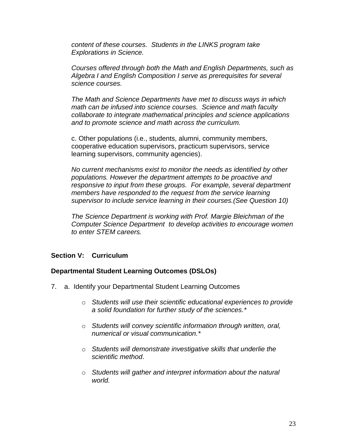*content of these courses. Students in the LINKS program take Explorations in Science.*

*Courses offered through both the Math and English Departments, such as Algebra I and English Composition I serve as prerequisites for several science courses.* 

*The Math and Science Departments have met to discuss ways in which math can be infused into science courses. Science and math faculty collaborate to integrate mathematical principles and science applications and to promote science and math across the curriculum.*

c. Other populations (i.e., students, alumni, community members, cooperative education supervisors, practicum supervisors, service learning supervisors, community agencies).

*No current mechanisms exist to monitor the needs as identified by other populations. However the department attempts to be proactive and responsive to input from these groups. For example, several department members have responded to the request from the service learning supervisor to include service learning in their courses.(See Question 10)*

*The Science Department is working with Prof. Margie Bleichman of the Computer Science Department to develop activities to encourage women to enter STEM careers.*

# **Section V: Curriculum**

# **Departmental Student Learning Outcomes (DSLOs)**

- 7. a. Identify your Departmental Student Learning Outcomes
	- o *Students will use their scientific educational experiences to provide a solid foundation for further study of the sciences.\**
	- o *Students will convey scientific information through written, oral, numerical or visual communication.\**
	- o *Students will demonstrate investigative skills that underlie the scientific method*.
	- o *Students will gather and interpret information about the natural world.*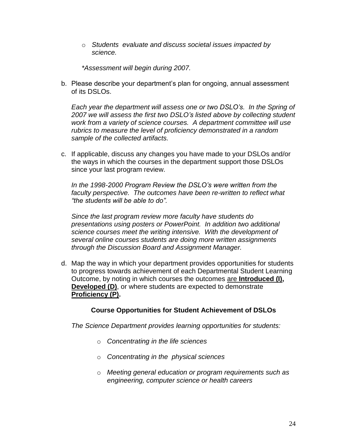o *Students evaluate and discuss societal issues impacted by science.*

*\*Assessment will begin during 2007.*

b. Please describe your department's plan for ongoing, annual assessment of its DSLOs.

*Each year the department will assess one or two DSLO's. In the Spring of 2007 we will assess the first two DSLO's listed above by collecting student work from a variety of science courses. A department committee will use rubrics to measure the level of proficiency demonstrated in a random sample of the collected artifacts.*

c. If applicable, discuss any changes you have made to your DSLOs and/or the ways in which the courses in the department support those DSLOs since your last program review.

*In the 1998-2000 Program Review the DSLO's were written from the faculty perspective. The outcomes have been re-written to reflect what "the students will be able to do".*

*Since the last program review more faculty have students do presentations using posters or PowerPoint. In addition two additional science courses meet the writing intensive. With the development of several online courses students are doing more written assignments through the Discussion Board and Assignment Manager.*

d. Map the way in which your department provides opportunities for students to progress towards achievement of each Departmental Student Learning Outcome, by noting in which courses the outcomes are **Introduced (I), Developed (D)**, or where students are expected to demonstrate **Proficiency (P).**

# **Course Opportunities for Student Achievement of DSLOs**

*The Science Department provides learning opportunities for students:* 

- o *Concentrating in the life sciences*
- o *Concentrating in the physical sciences*
- o *Meeting general education or program requirements such as engineering, computer science or health careers*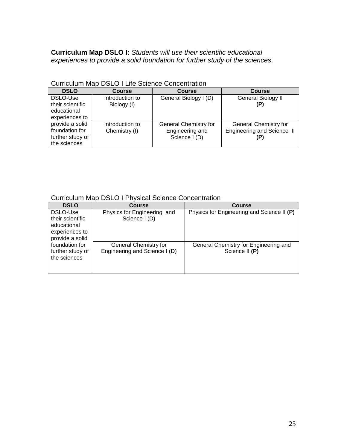# **Curriculum Map DSLO I:** *Students will use their scientific educational experiences to provide a solid foundation for further study of the sciences.*

| <b>DSLO</b>                                                           | <b>Course</b>                    | <b>Course</b>                                                    | <b>Course</b>                                       |
|-----------------------------------------------------------------------|----------------------------------|------------------------------------------------------------------|-----------------------------------------------------|
| DSLO-Use<br>their scientific<br>educational<br>experiences to         | Introduction to<br>Biology (I)   | General Biology I (D)                                            | General Biology II<br>(P)                           |
| provide a solid<br>foundation for<br>further study of<br>the sciences | Introduction to<br>Chemistry (I) | <b>General Chemistry for</b><br>Engineering and<br>Science I (D) | General Chemistry for<br>Engineering and Science II |

# Curriculum Map DSLO I Life Science Concentration

# Curriculum Map DSLO I Physical Science Concentration

| <b>DSLO</b>                                                                      | <b>Course</b>                                          | Course                                                  |
|----------------------------------------------------------------------------------|--------------------------------------------------------|---------------------------------------------------------|
| DSLO-Use<br>their scientific<br>educational<br>experiences to<br>provide a solid | Physics for Engineering and<br>Science I (D)           | Physics for Engineering and Science II (P)              |
| foundation for<br>further study of<br>the sciences                               | General Chemistry for<br>Engineering and Science I (D) | General Chemistry for Engineering and<br>Science II (P) |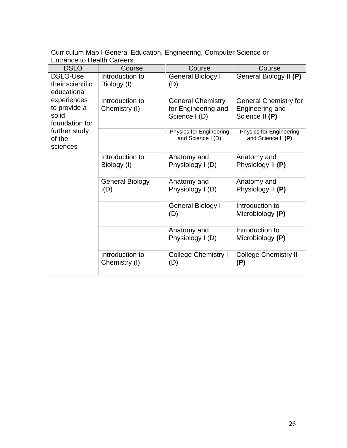Curriculum Map I General Education, Engineering, Computer Science or Entrance to Health Careers

| <b>DSLO</b>                                            | Course                           | Course                                                           | Course                                                            |
|--------------------------------------------------------|----------------------------------|------------------------------------------------------------------|-------------------------------------------------------------------|
| DSLO-Use<br>their scientific<br>educational            | Introduction to<br>Biology (I)   | General Biology I<br>(D)                                         | General Biology II (P)                                            |
| experiences<br>to provide a<br>solid<br>foundation for | Introduction to<br>Chemistry (I) | <b>General Chemistry</b><br>for Engineering and<br>Science I (D) | <b>General Chemistry for</b><br>Engineering and<br>Science II (P) |
| further study<br>of the<br>sciences                    |                                  | Physics for Engineering<br>and Science I (D)                     | <b>Physics for Engineering</b><br>and Science II (P)              |
|                                                        | Introduction to<br>Biology (I)   | Anatomy and<br>Physiology I (D)                                  | Anatomy and<br>Physiology II (P)                                  |
|                                                        | <b>General Biology</b><br>I(D)   | Anatomy and<br>Physiology I (D)                                  | Anatomy and<br>Physiology II (P)                                  |
|                                                        |                                  | General Biology I<br>(D)                                         | Introduction to<br>Microbiology (P)                               |
|                                                        |                                  | Anatomy and<br>Physiology I (D)                                  | Introduction to<br>Microbiology (P)                               |
|                                                        | Introduction to<br>Chemistry (I) | College Chemistry I<br>(D)                                       | <b>College Chemistry II</b><br>(P)                                |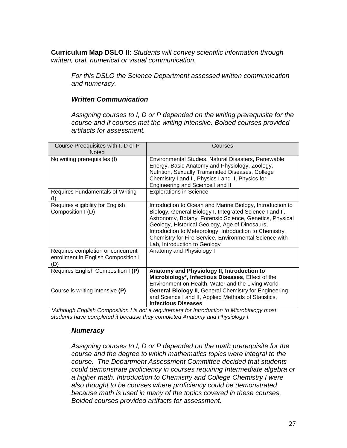**Curriculum Map DSLO II:** *Students will convey scientific information through written, oral, numerical or visual communication.*

*For this DSLO the Science Department assessed written communication and numeracy.* 

#### *Written Communication*

*Assigning courses to I, D or P depended on the writing prerequisite for the course and if courses met the writing intensive. Bolded courses provided artifacts for assessment.*

| Course Preequisites with I, D or P<br><b>Noted</b>                              | Courses                                                                                                                                                                                                                                                                                                                                                                                 |
|---------------------------------------------------------------------------------|-----------------------------------------------------------------------------------------------------------------------------------------------------------------------------------------------------------------------------------------------------------------------------------------------------------------------------------------------------------------------------------------|
| No writing prerequisites (I)                                                    | Environmental Studies, Natural Disasters, Renewable<br>Energy, Basic Anatomy and Physiology, Zoology,<br>Nutrition, Sexually Transmitted Diseases, College<br>Chemistry I and II, Physics I and II, Physics for<br>Engineering and Science I and II                                                                                                                                     |
| Requires Fundamentals of Writing<br>(I)                                         | <b>Explorations in Science</b>                                                                                                                                                                                                                                                                                                                                                          |
| Requires eligibility for English<br>Composition I (D)                           | Introduction to Ocean and Marine Biology, Introduction to<br>Biology, General Biology I, Integrated Science I and II,<br>Astronomy, Botany. Forensic Science, Genetics, Physical<br>Geology, Historical Geology, Age of Dinosaurs,<br>Introduction to Meteorology, Introduction to Chemistry,<br>Chemistry for Fire Service, Environmental Science with<br>Lab, Introduction to Geology |
| Requires completion or concurrent<br>enrollment in English Composition I<br>(D) | Anatomy and Physiology I                                                                                                                                                                                                                                                                                                                                                                |
| Requires English Composition I (P)                                              | Anatomy and Physiology II, Introduction to<br>Microbiology*, Infectious Diseases, Effect of the<br>Environment on Health, Water and the Living World                                                                                                                                                                                                                                    |
| Course is writing intensive (P)                                                 | <b>General Biology II, General Chemistry for Engineering</b><br>and Science I and II, Applied Methods of Statistics,<br><b>Infectious Diseases</b>                                                                                                                                                                                                                                      |

*\*Although English Composition I is not a requirement for Introduction to Microbiology most students have completed it because they completed Anatomy and Physiology I.*

#### *Numeracy*

*Assigning courses to I, D or P depended on the math prerequisite for the course and the degree to which mathematics topics were integral to the course. The Department Assessment Committee decided that students could demonstrate proficiency in courses requiring Intermediate algebra or a higher math. Introduction to Chemistry and College Chemistry I were also thought to be courses where proficiency could be demonstrated because math is used in many of the topics covered in these courses. Bolded courses provided artifacts for assessment.*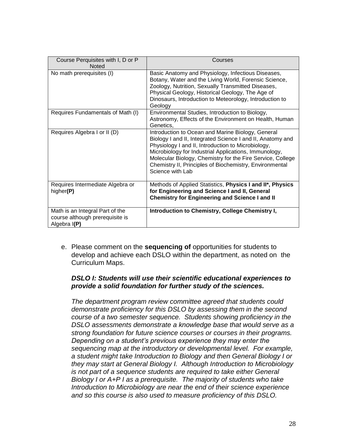| Course Perquisites with I, D or P<br><b>Noted</b>                                  | Courses                                                                                                                                                                                                                                                                                                                                                                     |
|------------------------------------------------------------------------------------|-----------------------------------------------------------------------------------------------------------------------------------------------------------------------------------------------------------------------------------------------------------------------------------------------------------------------------------------------------------------------------|
| No math prerequisites (I)                                                          | Basic Anatomy and Physiology, Infectious Diseases,<br>Botany, Water and the Living World, Forensic Science,<br>Zoology, Nutrition, Sexually Transmitted Diseases,<br>Physical Geology, Historical Geology, The Age of<br>Dinosaurs, Introduction to Meteorology, Introduction to<br>Geology                                                                                 |
| Requires Fundamentals of Math (I)                                                  | Environmental Studies, Introduction to Biology,<br>Astronomy, Effects of the Environment on Health, Human<br>Genetics,                                                                                                                                                                                                                                                      |
| Requires Algebra I or II (D)                                                       | Introduction to Ocean and Marine Biology, General<br>Biology I and II, Integrated Science I and II, Anatomy and<br>Physiology I and II, Introduction to Microbiology,<br>Microbiology for Industrial Applications, Immunology,<br>Molecular Biology, Chemistry for the Fire Service, College<br>Chemistry II, Principles of Biochemistry, Environmental<br>Science with Lab |
| Requires Intermediate Algebra or<br>higher(P)                                      | Methods of Applied Statistics, Physics I and II*, Physics<br>for Engineering and Science I and II, General<br><b>Chemistry for Engineering and Science I and II</b>                                                                                                                                                                                                         |
| Math is an Integral Part of the<br>course although prerequisite is<br>Algebra I(P) | Introduction to Chemistry, College Chemistry I,                                                                                                                                                                                                                                                                                                                             |

e. Please comment on the **sequencing of** opportunities for students to develop and achieve each DSLO within the department, as noted on the Curriculum Maps.

# *DSLO I: Students will use their scientific educational experiences to provide a solid foundation for further study of the sciences.*

*The department program review committee agreed that students could demonstrate proficiency for this DSLO by assessing them in the second course of a two semester sequence. Students showing proficiency in the DSLO assessments demonstrate a knowledge base that would serve as a strong foundation for future science courses or courses in their programs. Depending on a student's previous experience they may enter the sequencing map at the introductory or developmental level. For example, a student might take Introduction to Biology and then General Biology I or they may start at General Biology I. Although Introduction to Microbiology is not part of a sequence students are required to take either General Biology I or A+P I as a prerequisite. The majority of students who take Introduction to Microbiology are near the end of their science experience and so this course is also used to measure proficiency of this DSLO.*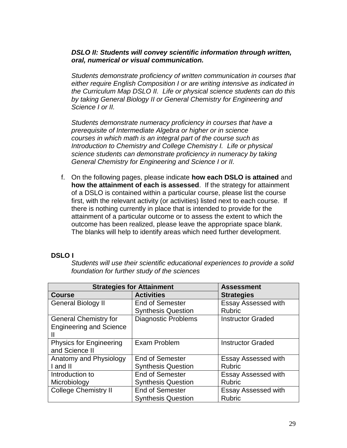# *DSLO II: Students will convey scientific information through written, oral, numerical or visual communication.*

*Students demonstrate proficiency of written communication in courses that either require English Composition I or are writing intensive as indicated in the Curriculum Map DSLO II. Life or physical science students can do this by taking General Biology II or General Chemistry for Engineering and Science I or II.* 

*Students demonstrate numeracy proficiency in courses that have a prerequisite of Intermediate Algebra or higher or in science courses in which math is an integral part of the course such as Introduction to Chemistry and College Chemistry I. Life or physical science students can demonstrate proficiency in numeracy by taking General Chemistry for Engineering and Science I or II.* 

f. On the following pages, please indicate **how each DSLO is attained** and **how the attainment of each is assessed**. If the strategy for attainment of a DSLO is contained within a particular course, please list the course first, with the relevant activity (or activities) listed next to each course. If there is nothing currently in place that is intended to provide for the attainment of a particular outcome or to assess the extent to which the outcome has been realized, please leave the appropriate space blank. The blanks will help to identify areas which need further development.

# **DSLO I**

*Students will use their scientific educational experiences to provide a solid foundation for further study of the sciences*

| <b>Strategies for Attainment</b> | <b>Assessment</b>          |                            |
|----------------------------------|----------------------------|----------------------------|
| <b>Course</b>                    | <b>Activities</b>          | <b>Strategies</b>          |
| <b>General Biology II</b>        | <b>End of Semester</b>     | <b>Essay Assessed with</b> |
|                                  | <b>Synthesis Question</b>  | <b>Rubric</b>              |
| <b>General Chemistry for</b>     | <b>Diagnostic Problems</b> | <b>Instructor Graded</b>   |
| <b>Engineering and Science</b>   |                            |                            |
| Ш                                |                            |                            |
| <b>Physics for Engineering</b>   | Exam Problem               | <b>Instructor Graded</b>   |
| and Science II                   |                            |                            |
| Anatomy and Physiology           | <b>End of Semester</b>     | <b>Essay Assessed with</b> |
| I and II                         | <b>Synthesis Question</b>  | <b>Rubric</b>              |
| Introduction to                  | <b>End of Semester</b>     | <b>Essay Assessed with</b> |
| Microbiology                     | <b>Synthesis Question</b>  | <b>Rubric</b>              |
| College Chemistry II             | <b>End of Semester</b>     | <b>Essay Assessed with</b> |
|                                  | <b>Synthesis Question</b>  | <b>Rubric</b>              |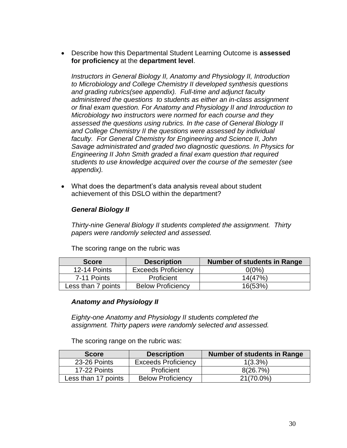Describe how this Departmental Student Learning Outcome is **assessed for proficiency** at the **department level**.

*Instructors in General Biology II, Anatomy and Physiology II, Introduction to Microbiology and College Chemistry II developed synthesis questions and grading rubrics(see appendix). Full-time and adjunct faculty administered the questions to students as either an in-class assignment or final exam question. For Anatomy and Physiology II and Introduction to Microbiology two instructors were normed for each course and they assessed the questions using rubrics. In the case of General Biology II and College Chemistry II the questions were assessed by individual faculty. For General Chemistry for Engineering and Science II, John Savage administrated and graded two diagnostic questions. In Physics for Engineering II John Smith graded a final exam question that required students to use knowledge acquired over the course of the semester (see appendix).* 

 What does the department"s data analysis reveal about student achievement of this DSLO within the department?

# *General Biology II*

*Thirty-nine General Biology II students completed the assignment. Thirty papers were randomly selected and assessed.*

The scoring range on the rubric was

| <b>Score</b>       | <b>Description</b>         | Number of students in Range |
|--------------------|----------------------------|-----------------------------|
| 12-14 Points       | <b>Exceeds Proficiency</b> | $0(0\%)$                    |
| 7-11 Points        | Proficient                 | 14(47%)                     |
| Less than 7 points | <b>Below Proficiency</b>   | 16(53%)                     |

# *Anatomy and Physiology II*

*Eighty-one Anatomy and Physiology II students completed the assignment. Thirty papers were randomly selected and assessed.* 

The scoring range on the rubric was:

| <b>Score</b>        | <b>Description</b>         | Number of students in Range |
|---------------------|----------------------------|-----------------------------|
| 23-26 Points        | <b>Exceeds Proficiency</b> | $1(3.3\%)$                  |
| 17-22 Points        | Proficient                 | 8(26.7%)                    |
| Less than 17 points | <b>Below Proficiency</b>   | 21(70.0%)                   |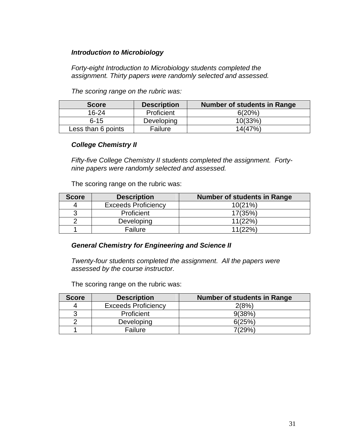# *Introduction to Microbiology*

*Forty-eight Introduction to Microbiology students completed the assignment. Thirty papers were randomly selected and assessed.* 

*The scoring range on the rubric was:*

| <b>Score</b>       | <b>Description</b> | Number of students in Range |
|--------------------|--------------------|-----------------------------|
| 16-24              | Proficient         | 6(20%)                      |
| $6 - 15$           | Developing         | 10(33%)                     |
| Less than 6 points | Failure            | 14(47%)                     |

# *College Chemistry II*

*Fifty-five College Chemistry II students completed the assignment. Fortynine papers were randomly selected and assessed.* 

The scoring range on the rubric was:

| <b>Score</b> | <b>Description</b>         | Number of students in Range |
|--------------|----------------------------|-----------------------------|
|              | <b>Exceeds Proficiency</b> | 10(21%)                     |
| ◠            | Proficient                 | 17(35%)                     |
|              | Developing                 | 11(22%)                     |
|              | Failure                    | 11(22%)                     |

# *General Chemistry for Engineering and Science II*

*Twenty-four students completed the assignment. All the papers were assessed by the course instructor.*

The scoring range on the rubric was:

| <b>Score</b> | <b>Description</b>         | <b>Number of students in Range</b> |
|--------------|----------------------------|------------------------------------|
|              | <b>Exceeds Proficiency</b> | 2(8%)                              |
| ാ            | Proficient                 | 9(38%)                             |
|              | Developing                 | 6(25%)                             |
|              | Failure                    | 7(29%)                             |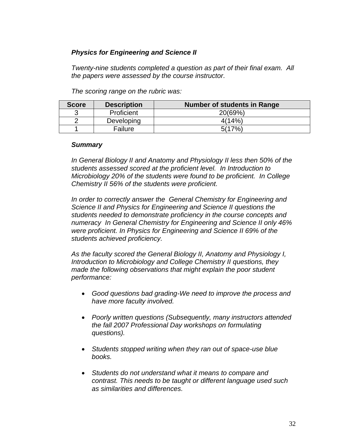# *Physics for Engineering and Science II*

*Twenty-nine students completed a question as part of their final exam. All the papers were assessed by the course instructor.* 

| <b>Score</b> | <b>Description</b> | <b>Number of students in Range</b> |
|--------------|--------------------|------------------------------------|
|              | Proficient         | 20(69%)                            |
|              | Developing         | 4(14%)                             |
|              | Failure            | 5(17%                              |

*The scoring range on the rubric was:*

#### *Summary*

*In General Biology II and Anatomy and Physiology II less then 50% of the students assessed scored at the proficient level. In Introduction to Microbiology 20% of the students were found to be proficient. In College Chemistry II 56% of the students were proficient.*

*In order to correctly answer the General Chemistry for Engineering and Science II and Physics for Engineering and Science II questions the students needed to demonstrate proficiency in the course concepts and numeracy In General Chemistry for Engineering and Science II only 46% were proficient. In Physics for Engineering and Science II 69% of the students achieved proficiency.* 

*As the faculty scored the General Biology II, Anatomy and Physiology I, Introduction to Microbiology and College Chemistry II questions, they made the following observations that might explain the poor student performance:*

- *Good questions bad grading-We need to improve the process and have more faculty involved.*
- *Poorly written questions (Subsequently, many instructors attended the fall 2007 Professional Day workshops on formulating questions).*
- *Students stopped writing when they ran out of space-use blue books.*
- *Students do not understand what it means to compare and contrast. This needs to be taught or different language used such as similarities and differences.*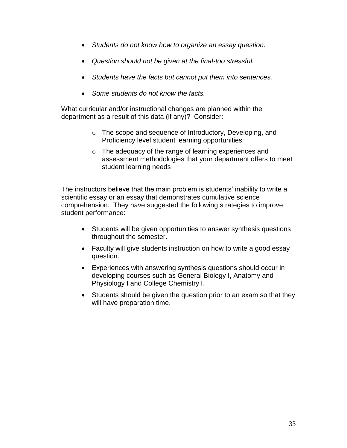- *Students do not know how to organize an essay question.*
- *Question should not be given at the final-too stressful.*
- *Students have the facts but cannot put them into sentences.*
- *Some students do not know the facts.*

What curricular and/or instructional changes are planned within the department as a result of this data (if any)? Consider:

- o The scope and sequence of Introductory, Developing, and Proficiency level student learning opportunities
- o The adequacy of the range of learning experiences and assessment methodologies that your department offers to meet student learning needs

The instructors believe that the main problem is students" inability to write a scientific essay or an essay that demonstrates cumulative science comprehension. They have suggested the following strategies to improve student performance:

- Students will be given opportunities to answer synthesis questions throughout the semester.
- Faculty will give students instruction on how to write a good essay question.
- Experiences with answering synthesis questions should occur in developing courses such as General Biology I, Anatomy and Physiology I and College Chemistry I.
- Students should be given the question prior to an exam so that they will have preparation time.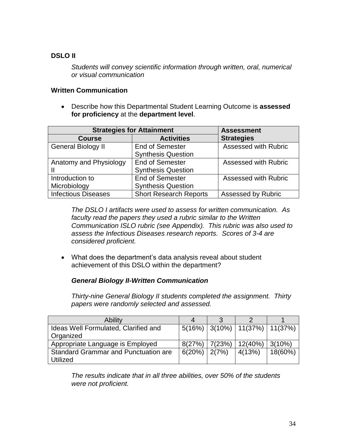# **DSLO II**

*Students will convey scientific information through written, oral, numerical or visual communication*

# **Written Communication**

 Describe how this Departmental Student Learning Outcome is **assessed for proficiency** at the **department level**.

| <b>Strategies for Attainment</b> | <b>Assessment</b>             |                             |
|----------------------------------|-------------------------------|-----------------------------|
| <b>Course</b>                    | <b>Activities</b>             | <b>Strategies</b>           |
| <b>General Biology II</b>        | <b>End of Semester</b>        | <b>Assessed with Rubric</b> |
|                                  | <b>Synthesis Question</b>     |                             |
| Anatomy and Physiology           | <b>End of Semester</b>        | <b>Assessed with Rubric</b> |
|                                  | <b>Synthesis Question</b>     |                             |
| Introduction to                  | <b>End of Semester</b>        | <b>Assessed with Rubric</b> |
| Microbiology                     | <b>Synthesis Question</b>     |                             |
| <b>Infectious Diseases</b>       | <b>Short Research Reports</b> | <b>Assessed by Rubric</b>   |

*The DSLO I artifacts were used to assess for written communication. As faculty read the papers they used a rubric similar to the Written Communication ISLO rubric (see Appendix). This rubric was also used to assess the Infectious Diseases research reports. Scores of 3-4 are considered proficient.*

• What does the department's data analysis reveal about student achievement of this DSLO within the department?

# *General Biology II-Written Communication*

*Thirty-nine General Biology II students completed the assignment. Thirty papers were randomly selected and assessed.* 

| Ability                                     |                 |        |                                        |         |
|---------------------------------------------|-----------------|--------|----------------------------------------|---------|
| Ideas Well Formulated, Clarified and        |                 |        | $5(16\%)$   3(10%)   11(37%)   11(37%) |         |
| Organized                                   |                 |        |                                        |         |
| Appropriate Language is Employed            | 8(27%)          | 7(23%) | 12(40%)                                | 3(10%)  |
| <b>Standard Grammar and Punctuation are</b> | $6(20\%)$ 2(7%) |        | 4(13%)                                 | 18(60%) |
| <b>Utilized</b>                             |                 |        |                                        |         |

*The results indicate that in all three abilities, over 50% of the students were not proficient.*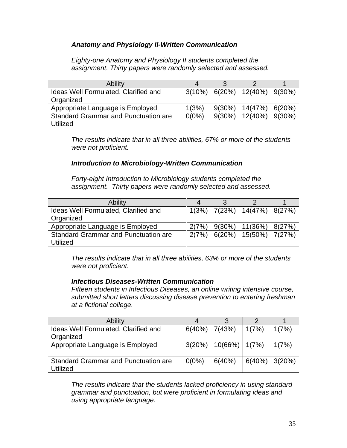# *Anatomy and Physiology II-Written Communication*

*Eighty-one Anatomy and Physiology II students completed the assignment. Thirty papers were randomly selected and assessed.* 

| <b>Ability</b>                              |          |           |                                       |        |
|---------------------------------------------|----------|-----------|---------------------------------------|--------|
| Ideas Well Formulated, Clarified and        |          |           | $3(10\%)$   6(20%)   12(40%)   9(30%) |        |
| Organized                                   |          |           |                                       |        |
| Appropriate Language is Employed            | 1(3%)    | $9(30\%)$ | 14(47%)                               | 6(20%) |
| <b>Standard Grammar and Punctuation are</b> | $0(0\%)$ |           | $9(30\%)$   12(40%)   9(30%)          |        |
| <b>Utilized</b>                             |          |           |                                       |        |

*The results indicate that in all three abilities, 67% or more of the students were not proficient.*

# *Introduction to Microbiology-Written Communication*

*Forty-eight Introduction to Microbiology students completed the assignment. Thirty papers were randomly selected and assessed.* 

| Ability                                     |       |             |                                      |  |
|---------------------------------------------|-------|-------------|--------------------------------------|--|
| Ideas Well Formulated, Clarified and        |       |             | $1(3\%)$   7(23%)   14(47%)   8(27%) |  |
| Organized                                   |       |             |                                      |  |
| Appropriate Language is Employed            | 2(7%) | $ 9(30\%) $ | $11(36\%)$ 8(27%)                    |  |
| <b>Standard Grammar and Punctuation are</b> | 2(7%) |             | $ 6(20\%) 15(50\%) 7(27\%)$          |  |
| <b>Utilized</b>                             |       |             |                                      |  |

*The results indicate that in all three abilities, 63% or more of the students were not proficient.*

# *Infectious Diseases-Written Communication*

*Fifteen students in Infectious Diseases, an online writing intensive course, submitted short letters discussing disease prevention to entering freshman at a fictional college.*

| <b>Ability</b>                                          |                    |                    |           |        |
|---------------------------------------------------------|--------------------|--------------------|-----------|--------|
| Ideas Well Formulated, Clarified and<br>Organized       | $6(40\%)$   7(43%) |                    | 1(7%)     | 1(7%)  |
| Appropriate Language is Employed                        | 3(20%)             | $10(66\%)$   1(7%) |           | 1(7%)  |
| <b>Standard Grammar and Punctuation are</b><br>Utilized | $0(0\%)$           | 6(40%)             | $6(40\%)$ | 3(20%) |

*The results indicate that the students lacked proficiency in using standard grammar and punctuation, but were proficient in formulating ideas and using appropriate language.*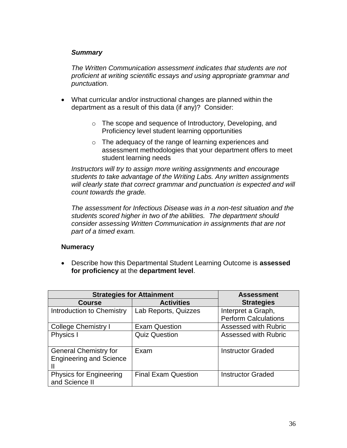# *Summary*

*The Written Communication assessment indicates that students are not proficient at writing scientific essays and using appropriate grammar and punctuation.*

- What curricular and/or instructional changes are planned within the department as a result of this data (if any)? Consider:
	- o The scope and sequence of Introductory, Developing, and Proficiency level student learning opportunities
	- o The adequacy of the range of learning experiences and assessment methodologies that your department offers to meet student learning needs

*Instructors will try to assign more writing assignments and encourage students to take advantage of the Writing Labs. Any written assignments will clearly state that correct grammar and punctuation is expected and will count towards the grade.* 

*The assessment for Infectious Disease was in a non-test situation and the students scored higher in two of the abilities. The department should consider assessing Written Communication in assignments that are not part of a timed exam.*

# **Numeracy**

 Describe how this Departmental Student Learning Outcome is **assessed for proficiency** at the **department level**.

|                                | <b>Strategies for Attainment</b> |                             |  |
|--------------------------------|----------------------------------|-----------------------------|--|
| <b>Course</b>                  | <b>Activities</b>                | <b>Strategies</b>           |  |
| Introduction to Chemistry      | Lab Reports, Quizzes             | Interpret a Graph,          |  |
|                                |                                  | <b>Perform Calculations</b> |  |
| <b>College Chemistry I</b>     | <b>Exam Question</b>             | <b>Assessed with Rubric</b> |  |
| Physics I                      | <b>Quiz Question</b>             | <b>Assessed with Rubric</b> |  |
|                                |                                  |                             |  |
| <b>General Chemistry for</b>   | Exam                             | <b>Instructor Graded</b>    |  |
| <b>Engineering and Science</b> |                                  |                             |  |
|                                |                                  |                             |  |
| <b>Physics for Engineering</b> | <b>Final Exam Question</b>       | <b>Instructor Graded</b>    |  |
| and Science II                 |                                  |                             |  |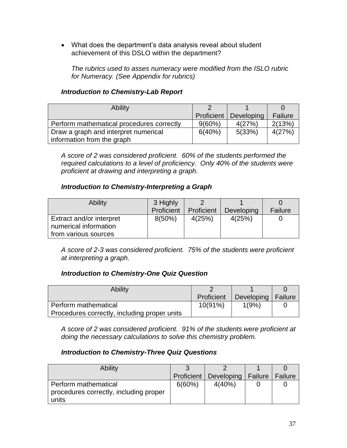• What does the department's data analysis reveal about student achievement of this DSLO within the department?

*The rubrics used to asses numeracy were modified from the ISLO rubric for Numeracy. (See Appendix for rubrics)*

# *Introduction to Chemistry-Lab Report*

| <b>Ability</b>                            |            |            |         |
|-------------------------------------------|------------|------------|---------|
|                                           | Proficient | Developing | Failure |
| Perform mathematical procedures correctly | $9(60\%)$  | 4(27%)     | 2(13%)  |
| Draw a graph and interpret numerical      | 6(40%)     | 5(33%)     | 4(27%)  |
| information from the graph                |            |            |         |

*A score of 2 was considered proficient. 60% of the students performed the required calculations to a level of proficiency. Only 40% of the students were proficient at drawing and interpreting a graph.*

# *Introduction to Chemistry-Interpreting a Graph*

| <b>Ability</b>           | 3 Highly   |            |            |         |
|--------------------------|------------|------------|------------|---------|
|                          | Proficient | Proficient | Developing | Failure |
| Extract and/or interpret | $8(50\%)$  | 4(25%)     | 4(25%)     |         |
| numerical information    |            |            |            |         |
| from various sources     |            |            |            |         |

*A score of 2-3 was considered proficient. 75% of the students were proficient at interpreting a graph.*

# *Introduction to Chemistry-One Quiz Question*

| <b>Ability</b>                               |            |                      |  |
|----------------------------------------------|------------|----------------------|--|
|                                              | Proficient | Developing   Failure |  |
| Perform mathematical                         | 10(91%)    | 1(9%)                |  |
| Procedures correctly, including proper units |            |                      |  |

*A score of 2 was considered proficient. 91% of the students were proficient at doing the necessary calculations to solve this chemistry problem.*

# *Introduction to Chemistry-Three Quiz Questions*

| <b>Ability</b>                                                 |            |                      |                |
|----------------------------------------------------------------|------------|----------------------|----------------|
|                                                                | Proficient | Developing   Failure | <b>Failure</b> |
| Perform mathematical<br>procedures correctly, including proper | 6(60%)     | 4(40%)               |                |
| units                                                          |            |                      |                |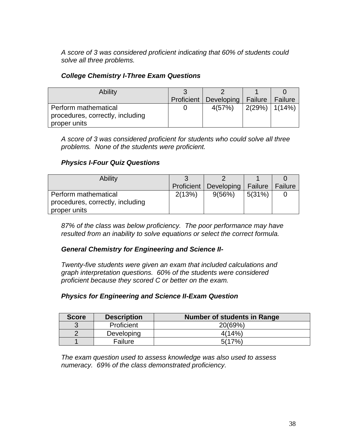*A score of 3 was considered proficient indicating that 60% of students could solve all three problems.*

# *College Chemistry I-Three Exam Questions*

| <b>Ability</b>                   |            |            |                    |         |
|----------------------------------|------------|------------|--------------------|---------|
|                                  | Proficient | Developing | Failure            | Failure |
| Perform mathematical             |            | 4(57%)     | $2(29\%)$   1(14%) |         |
| procedures, correctly, including |            |            |                    |         |
| proper units                     |            |            |                    |         |

*A score of 3 was considered proficient for students who could solve all three problems. None of the students were proficient.*

# *Physics I-Four Quiz Questions*

| <b>Ability</b>                                                           |        |                                   |        |         |
|--------------------------------------------------------------------------|--------|-----------------------------------|--------|---------|
|                                                                          |        | Proficient   Developing   Failure |        | Failure |
| Perform mathematical<br>procedures, correctly, including<br>proper units | 2(13%) | 9(56%)                            | 5(31%) |         |

*87% of the class was below proficiency. The poor performance may have resulted from an inability to solve equations or select the correct formula.*

# *General Chemistry for Engineering and Science II-*

*Twenty-five students were given an exam that included calculations and graph interpretation questions. 60% of the students were considered proficient because they scored C or better on the exam.*

# *Physics for Engineering and Science II-Exam Question*

| <b>Score</b> | <b>Description</b> | Number of students in Range |
|--------------|--------------------|-----------------------------|
|              | Proficient         | 20(69%)                     |
|              | Developing         | 4(14%)                      |
|              | Failure            | 5(17%                       |

*The exam question used to assess knowledge was also used to assess numeracy. 69% of the class demonstrated proficiency.*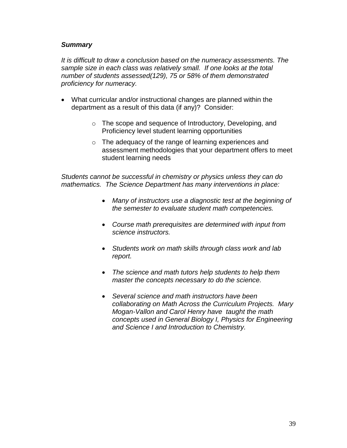#### *Summary*

*It is difficult to draw a conclusion based on the numeracy assessments. The sample size in each class was relatively small. If one looks at the total number of students assessed(129), 75 or 58% of them demonstrated proficiency for numeracy.* 

- What curricular and/or instructional changes are planned within the department as a result of this data (if any)? Consider:
	- o The scope and sequence of Introductory, Developing, and Proficiency level student learning opportunities
	- o The adequacy of the range of learning experiences and assessment methodologies that your department offers to meet student learning needs

*Students cannot be successful in chemistry or physics unless they can do mathematics. The Science Department has many interventions in place:*

- *Many of instructors use a diagnostic test at the beginning of the semester to evaluate student math competencies.*
- *Course math prerequisites are determined with input from science instructors.*
- *Students work on math skills through class work and lab report.*
- *The science and math tutors help students to help them master the concepts necessary to do the science.*
- *Several science and math instructors have been collaborating on Math Across the Curriculum Projects. Mary Mogan-Vallon and Carol Henry have taught the math concepts used in General Biology I, Physics for Engineering and Science I and Introduction to Chemistry.*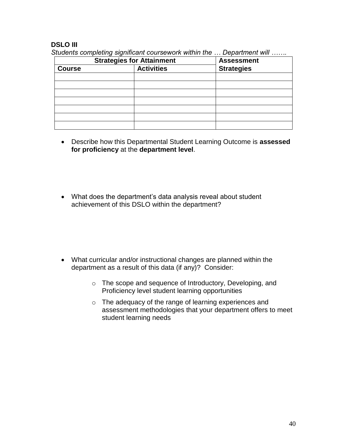# **DSLO III**

|               | <b>Strategies for Attainment</b> | <b>Assessment</b> |  |
|---------------|----------------------------------|-------------------|--|
| <b>Course</b> | <b>Activities</b>                | <b>Strategies</b> |  |
|               |                                  |                   |  |
|               |                                  |                   |  |
|               |                                  |                   |  |
|               |                                  |                   |  |
|               |                                  |                   |  |
|               |                                  |                   |  |
|               |                                  |                   |  |

- Describe how this Departmental Student Learning Outcome is **assessed for proficiency** at the **department level**.
- What does the department's data analysis reveal about student achievement of this DSLO within the department?

- What curricular and/or instructional changes are planned within the department as a result of this data (if any)? Consider:
	- o The scope and sequence of Introductory, Developing, and Proficiency level student learning opportunities
	- o The adequacy of the range of learning experiences and assessment methodologies that your department offers to meet student learning needs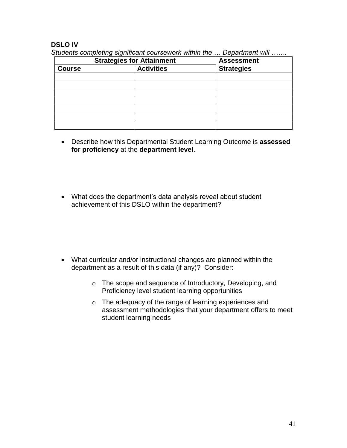# **DSLO IV**

| <b>Strategies for Attainment</b> |                   | <b>Assessment</b> |
|----------------------------------|-------------------|-------------------|
| <b>Course</b>                    | <b>Activities</b> | <b>Strategies</b> |
|                                  |                   |                   |
|                                  |                   |                   |
|                                  |                   |                   |
|                                  |                   |                   |
|                                  |                   |                   |
|                                  |                   |                   |
|                                  |                   |                   |

- Describe how this Departmental Student Learning Outcome is **assessed for proficiency** at the **department level**.
- What does the department's data analysis reveal about student achievement of this DSLO within the department?

- What curricular and/or instructional changes are planned within the department as a result of this data (if any)? Consider:
	- o The scope and sequence of Introductory, Developing, and Proficiency level student learning opportunities
	- o The adequacy of the range of learning experiences and assessment methodologies that your department offers to meet student learning needs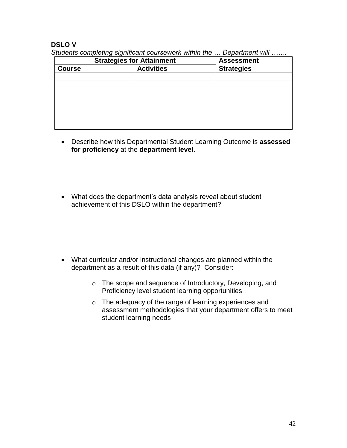# **DSLO V**

| <b>Strategies for Attainment</b> |                   | <b>Assessment</b> |
|----------------------------------|-------------------|-------------------|
| <b>Course</b>                    | <b>Activities</b> | <b>Strategies</b> |
|                                  |                   |                   |
|                                  |                   |                   |
|                                  |                   |                   |
|                                  |                   |                   |
|                                  |                   |                   |
|                                  |                   |                   |
|                                  |                   |                   |

- Describe how this Departmental Student Learning Outcome is **assessed for proficiency** at the **department level**.
- What does the department's data analysis reveal about student achievement of this DSLO within the department?

- What curricular and/or instructional changes are planned within the department as a result of this data (if any)? Consider:
	- o The scope and sequence of Introductory, Developing, and Proficiency level student learning opportunities
	- o The adequacy of the range of learning experiences and assessment methodologies that your department offers to meet student learning needs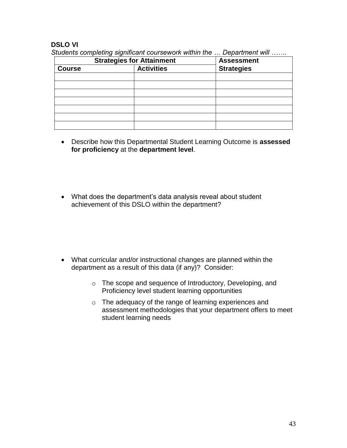# **DSLO VI**

| <b>Strategies for Attainment</b> |                   | <b>Assessment</b> |  |
|----------------------------------|-------------------|-------------------|--|
| <b>Course</b>                    | <b>Activities</b> | <b>Strategies</b> |  |
|                                  |                   |                   |  |
|                                  |                   |                   |  |
|                                  |                   |                   |  |
|                                  |                   |                   |  |
|                                  |                   |                   |  |
|                                  |                   |                   |  |
|                                  |                   |                   |  |

- Describe how this Departmental Student Learning Outcome is **assessed for proficiency** at the **department level**.
- What does the department's data analysis reveal about student achievement of this DSLO within the department?

- What curricular and/or instructional changes are planned within the department as a result of this data (if any)? Consider:
	- o The scope and sequence of Introductory, Developing, and Proficiency level student learning opportunities
	- o The adequacy of the range of learning experiences and assessment methodologies that your department offers to meet student learning needs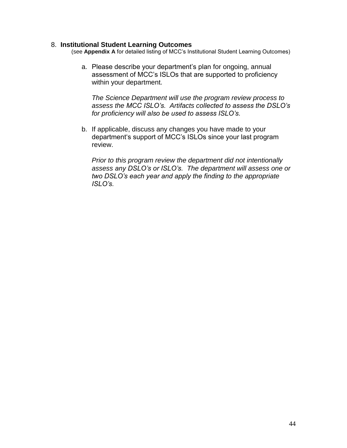#### 8. **Institutional Student Learning Outcomes**

(see **Appendix A** for detailed listing of MCC"s Institutional Student Learning Outcomes)

a. Please describe your department"s plan for ongoing, annual assessment of MCC"s ISLOs that are supported to proficiency within your department.

*The Science Department will use the program review process to assess the MCC ISLO's. Artifacts collected to assess the DSLO's for proficiency will also be used to assess ISLO's.*

b. If applicable, discuss any changes you have made to your department"s support of MCC"s ISLOs since your last program review.

*Prior to this program review the department did not intentionally assess any DSLO's or ISLO's. The department will assess one or two DSLO's each year and apply the finding to the appropriate ISLO's.*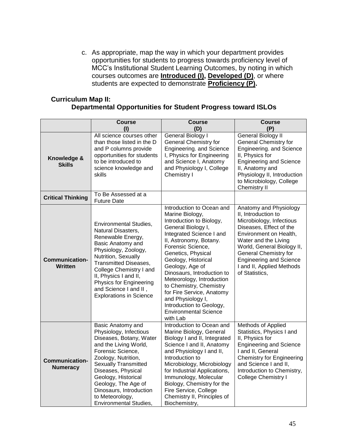c. As appropriate, map the way in which your department provides opportunities for students to progress towards proficiency level of MCC"s Institutional Student Learning Outcomes, by noting in which courses outcomes are **Introduced (I), Developed (D)**, or where students are expected to demonstrate **Proficiency (P).**

# **Curriculum Map II: Departmental Opportunities for Student Progress toward ISLOs**

|                                          | <b>Course</b><br>(1)                                                                                                                                                                                                                                                                                                          | <b>Course</b><br>(D)                                                                                                                                                                                                                                                                                                                                                                                                                                      | <b>Course</b><br>(P)                                                                                                                                                                                                                                                                                  |
|------------------------------------------|-------------------------------------------------------------------------------------------------------------------------------------------------------------------------------------------------------------------------------------------------------------------------------------------------------------------------------|-----------------------------------------------------------------------------------------------------------------------------------------------------------------------------------------------------------------------------------------------------------------------------------------------------------------------------------------------------------------------------------------------------------------------------------------------------------|-------------------------------------------------------------------------------------------------------------------------------------------------------------------------------------------------------------------------------------------------------------------------------------------------------|
| Knowledge &<br><b>Skills</b>             | All science courses other<br>than those listed in the D<br>and P columns provide<br>opportunities for students<br>to be introduced to<br>science knowledge and<br>skills                                                                                                                                                      | <b>General Biology I</b><br><b>General Chemistry for</b><br>Engineering. and Science<br>I, Physics for Engineering<br>and Science I, Anatomy<br>and Physiology I, College<br>Chemistry I                                                                                                                                                                                                                                                                  | <b>General Biology II</b><br><b>General Chemistry for</b><br>Engineering. and Science<br>II, Physics for<br><b>Engineering and Science</b><br>II, Anatomy and<br>Physiology II, Introduction<br>to Microbiology, College<br>Chemistry II                                                              |
| <b>Critical Thinking</b>                 | To Be Assessed at a<br><b>Future Date</b>                                                                                                                                                                                                                                                                                     |                                                                                                                                                                                                                                                                                                                                                                                                                                                           |                                                                                                                                                                                                                                                                                                       |
| <b>Communication-</b><br><b>Written</b>  | <b>Environmental Studies,</b><br>Natural Disasters,<br>Renewable Energy,<br>Basic Anatomy and<br>Physiology, Zoology,<br>Nutrition, Sexually<br><b>Transmitted Diseases,</b><br>College Chemistry I and<br>II, Physics I and II,<br><b>Physics for Engineering</b><br>and Science I and II,<br><b>Explorations in Science</b> | Introduction to Ocean and<br>Marine Biology,<br>Introduction to Biology,<br>General Biology I,<br>Integrated Science I and<br>II, Astronomy, Botany.<br>Forensic Science,<br>Genetics, Physical<br>Geology, Historical<br>Geology, Age of<br>Dinosaurs, Introduction to<br>Meteorology, Introduction<br>to Chemistry, Chemistry<br>for Fire Service, Anatomy<br>and Physiology I,<br>Introduction to Geology,<br><b>Environmental Science</b><br>with Lab | Anatomy and Physiology<br>II, Introduction to<br>Microbiology, Infectious<br>Diseases, Effect of the<br>Environment on Health,<br>Water and the Living<br>World, General Biology II,<br><b>General Chemistry for</b><br><b>Engineering and Science</b><br>I and II, Applied Methods<br>of Statistics, |
| <b>Communication-</b><br><b>Numeracy</b> | Basic Anatomy and<br>Physiology, Infectious<br>Diseases, Botany, Water<br>and the Living World,<br>Forensic Science,<br>Zoology, Nutrition,<br><b>Sexually Transmitted</b><br>Diseases, Physical<br>Geology, Historical<br>Geology, The Age of<br>Dinosaurs, Introduction<br>to Meteorology,<br><b>Environmental Studies,</b> | Introduction to Ocean and<br>Marine Biology, General<br>Biology I and II, Integrated<br>Science I and II, Anatomy<br>and Physiology I and II,<br>Introduction to<br>Microbiology, Microbiology<br>for Industrial Applications,<br>Immunology, Molecular<br>Biology, Chemistry for the<br>Fire Service, College<br>Chemistry II, Principles of<br>Biochemistry,                                                                                            | Methods of Applied<br>Statistics, Physics I and<br>II, Physics for<br><b>Engineering and Science</b><br>I and II, General<br><b>Chemistry for Engineering</b><br>and Science I and II,<br>Introduction to Chemistry,<br><b>College Chemistry I</b>                                                    |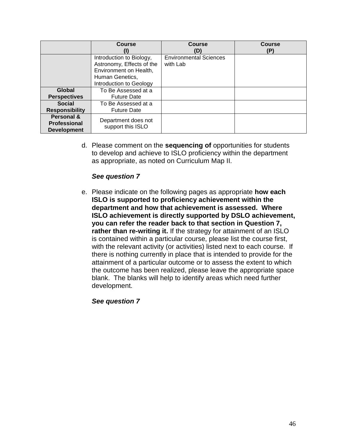|                                                  | <b>Course</b>                                                                                                                 | <b>Course</b><br>D)                       | <b>Course</b><br>(P) |
|--------------------------------------------------|-------------------------------------------------------------------------------------------------------------------------------|-------------------------------------------|----------------------|
|                                                  | Introduction to Biology,<br>Astronomy, Effects of the<br>Environment on Health,<br>Human Genetics,<br>Introduction to Geology | <b>Environmental Sciences</b><br>with Lab |                      |
| Global                                           | To Be Assessed at a                                                                                                           |                                           |                      |
| <b>Perspectives</b>                              | <b>Future Date</b>                                                                                                            |                                           |                      |
| <b>Social</b>                                    | To Be Assessed at a                                                                                                           |                                           |                      |
| <b>Responsibility</b>                            | <b>Future Date</b>                                                                                                            |                                           |                      |
| Personal &<br>Professional<br><b>Development</b> | Department does not<br>support this ISLO                                                                                      |                                           |                      |

d. Please comment on the **sequencing of** opportunities for students to develop and achieve to ISLO proficiency within the department as appropriate, as noted on Curriculum Map II.

# *See question 7*

e. Please indicate on the following pages as appropriate **how each ISLO is supported to proficiency achievement within the department and how that achievement is assessed. Where ISLO achievement is directly supported by DSLO achievement, you can refer the reader back to that section in Question 7, rather than re-writing it.** If the strategy for attainment of an ISLO is contained within a particular course, please list the course first, with the relevant activity (or activities) listed next to each course. If there is nothing currently in place that is intended to provide for the attainment of a particular outcome or to assess the extent to which the outcome has been realized, please leave the appropriate space blank. The blanks will help to identify areas which need further development.

*See question 7*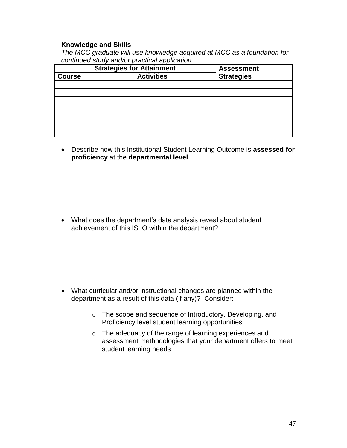#### **Knowledge and Skills**

*The MCC graduate will use knowledge acquired at MCC as a foundation for continued study and/or practical application.*

| <b>Strategies for Attainment</b> |                   | <b>Assessment</b> |
|----------------------------------|-------------------|-------------------|
| <b>Course</b>                    | <b>Activities</b> | <b>Strategies</b> |
|                                  |                   |                   |
|                                  |                   |                   |
|                                  |                   |                   |
|                                  |                   |                   |
|                                  |                   |                   |
|                                  |                   |                   |
|                                  |                   |                   |

 Describe how this Institutional Student Learning Outcome is **assessed for proficiency** at the **departmental level**.

• What does the department's data analysis reveal about student achievement of this ISLO within the department?

- What curricular and/or instructional changes are planned within the department as a result of this data (if any)? Consider:
	- o The scope and sequence of Introductory, Developing, and Proficiency level student learning opportunities
	- o The adequacy of the range of learning experiences and assessment methodologies that your department offers to meet student learning needs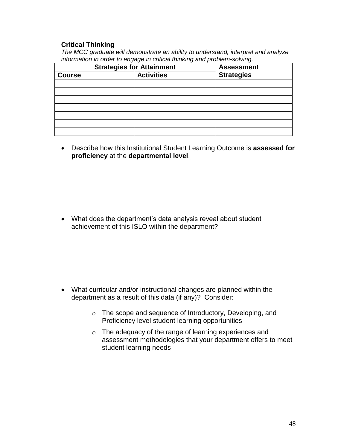# **Critical Thinking**

*The MCC graduate will demonstrate an ability to understand, interpret and analyze information in order to engage in critical thinking and problem-solving.*

| <b>Strategies for Attainment</b> |                   | <b>Assessment</b> |
|----------------------------------|-------------------|-------------------|
| <b>Course</b>                    | <b>Activities</b> | <b>Strategies</b> |
|                                  |                   |                   |
|                                  |                   |                   |
|                                  |                   |                   |
|                                  |                   |                   |
|                                  |                   |                   |
|                                  |                   |                   |
|                                  |                   |                   |

 Describe how this Institutional Student Learning Outcome is **assessed for proficiency** at the **departmental level**.

 What does the department"s data analysis reveal about student achievement of this ISLO within the department?

- What curricular and/or instructional changes are planned within the department as a result of this data (if any)? Consider:
	- o The scope and sequence of Introductory, Developing, and Proficiency level student learning opportunities
	- o The adequacy of the range of learning experiences and assessment methodologies that your department offers to meet student learning needs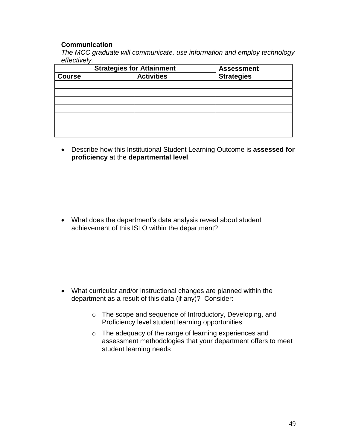# **Communication**

*The MCC graduate will communicate, use information and employ technology effectively.*

|               | <b>Strategies for Attainment</b> | <b>Assessment</b> |  |  |
|---------------|----------------------------------|-------------------|--|--|
| <b>Course</b> | <b>Activities</b>                | <b>Strategies</b> |  |  |
|               |                                  |                   |  |  |
|               |                                  |                   |  |  |
|               |                                  |                   |  |  |
|               |                                  |                   |  |  |
|               |                                  |                   |  |  |
|               |                                  |                   |  |  |
|               |                                  |                   |  |  |

 Describe how this Institutional Student Learning Outcome is **assessed for proficiency** at the **departmental level**.

• What does the department's data analysis reveal about student achievement of this ISLO within the department?

- What curricular and/or instructional changes are planned within the department as a result of this data (if any)? Consider:
	- o The scope and sequence of Introductory, Developing, and Proficiency level student learning opportunities
	- o The adequacy of the range of learning experiences and assessment methodologies that your department offers to meet student learning needs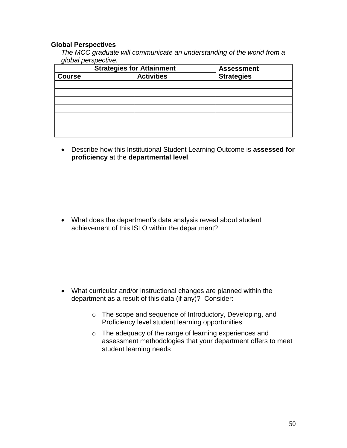#### **Global Perspectives**

*The MCC graduate will communicate an understanding of the world from a global perspective.*

|                                    | <b>Strategies for Attainment</b> | <b>Assessment</b> |  |  |
|------------------------------------|----------------------------------|-------------------|--|--|
| <b>Activities</b><br><b>Course</b> |                                  | <b>Strategies</b> |  |  |
|                                    |                                  |                   |  |  |
|                                    |                                  |                   |  |  |
|                                    |                                  |                   |  |  |
|                                    |                                  |                   |  |  |
|                                    |                                  |                   |  |  |
|                                    |                                  |                   |  |  |
|                                    |                                  |                   |  |  |

 Describe how this Institutional Student Learning Outcome is **assessed for proficiency** at the **departmental level**.

• What does the department's data analysis reveal about student achievement of this ISLO within the department?

- What curricular and/or instructional changes are planned within the department as a result of this data (if any)? Consider:
	- o The scope and sequence of Introductory, Developing, and Proficiency level student learning opportunities
	- o The adequacy of the range of learning experiences and assessment methodologies that your department offers to meet student learning needs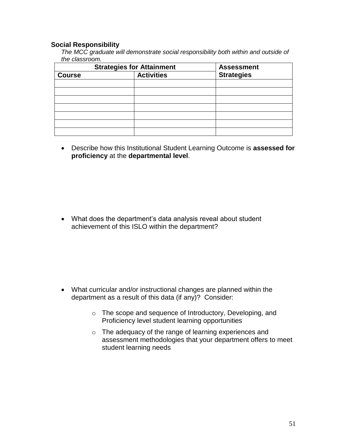#### **Social Responsibility**

*The MCC graduate will demonstrate social responsibility both within and outside of the classroom.*

|               | <b>Strategies for Attainment</b> | <b>Assessment</b> |  |  |
|---------------|----------------------------------|-------------------|--|--|
| <b>Course</b> | <b>Activities</b>                | <b>Strategies</b> |  |  |
|               |                                  |                   |  |  |
|               |                                  |                   |  |  |
|               |                                  |                   |  |  |
|               |                                  |                   |  |  |
|               |                                  |                   |  |  |
|               |                                  |                   |  |  |
|               |                                  |                   |  |  |

 Describe how this Institutional Student Learning Outcome is **assessed for proficiency** at the **departmental level**.

 What does the department"s data analysis reveal about student achievement of this ISLO within the department?

- What curricular and/or instructional changes are planned within the department as a result of this data (if any)? Consider:
	- o The scope and sequence of Introductory, Developing, and Proficiency level student learning opportunities
	- o The adequacy of the range of learning experiences and assessment methodologies that your department offers to meet student learning needs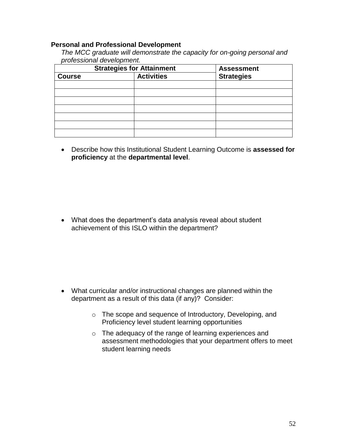#### **Personal and Professional Development**

| The MCC graduate will demonstrate the capacity for on-going personal and |  |
|--------------------------------------------------------------------------|--|
| professional development.                                                |  |

|               | <b>Strategies for Attainment</b> | <b>Assessment</b> |  |  |
|---------------|----------------------------------|-------------------|--|--|
| <b>Course</b> | <b>Activities</b>                | <b>Strategies</b> |  |  |
|               |                                  |                   |  |  |
|               |                                  |                   |  |  |
|               |                                  |                   |  |  |
|               |                                  |                   |  |  |
|               |                                  |                   |  |  |
|               |                                  |                   |  |  |
|               |                                  |                   |  |  |

 Describe how this Institutional Student Learning Outcome is **assessed for proficiency** at the **departmental level**.

• What does the department's data analysis reveal about student achievement of this ISLO within the department?

- What curricular and/or instructional changes are planned within the department as a result of this data (if any)? Consider:
	- o The scope and sequence of Introductory, Developing, and Proficiency level student learning opportunities
	- o The adequacy of the range of learning experiences and assessment methodologies that your department offers to meet student learning needs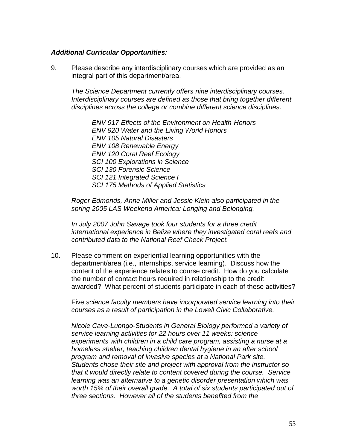# *Additional Curricular Opportunities:*

9. Please describe any interdisciplinary courses which are provided as an integral part of this department/area.

*The Science Department currently offers nine interdisciplinary courses. Interdisciplinary courses are defined as those that bring together different disciplines across the college or combine different science disciplines.*

*ENV 917 Effects of the Environment on Health-Honors ENV 920 Water and the Living World Honors ENV 105 Natural Disasters ENV 108 Renewable Energy ENV 120 Coral Reef Ecology SCI 100 Explorations in Science SCI 130 Forensic Science SCI 121 Integrated Science I SCI 175 Methods of Applied Statistics*

*Roger Edmonds, Anne Miller and Jessie Klein also participated in the spring 2005 LAS Weekend America: Longing and Belonging.*

*In July 2007 John Savage took four students for a three credit international experience in Belize where they investigated coral reefs and contributed data to the National Reef Check Project.*

10. Please comment on experiential learning opportunities with the department/area (i.e., internships, service learning). Discuss how the content of the experience relates to course credit. How do you calculate the number of contact hours required in relationship to the credit awarded? What percent of students participate in each of these activities?

Five *science faculty members have incorporated service learning into their courses as a result of participation in the Lowell Civic Collaborative.*

*Nicole Cave-Luongo-Students in General Biology performed a variety of service learning activities for 22 hours over 11 weeks: science experiments with children in a child care program, assisting a nurse at a homeless shelter, teaching children dental hygiene in an after school program and removal of invasive species at a National Park site. Students chose their site and project with approval from the instructor so that it would directly relate to content covered during the course. Service learning was an alternative to a genetic disorder presentation which was worth 15% of their overall grade. A total of six students participated out of three sections. However all of the students benefited from the*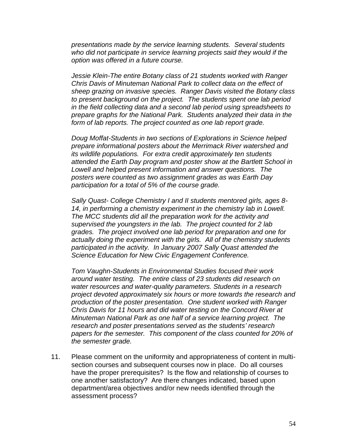*presentations made by the service learning students. Several students who did not participate in service learning projects said they would if the option was offered in a future course.*

*Jessie Klein-The entire Botany class of 21 students worked with Ranger Chris Davis of Minuteman National Park to collect data on the effect of sheep grazing on invasive species. Ranger Davis visited the Botany class to present background on the project. The students spent one lab period in the field collecting data and a second lab period using spreadsheets to prepare graphs for the National Park. Students analyzed their data in the form of lab reports. The project counted as one lab report grade.*

*Doug Moffat-Students in two sections of Explorations in Science helped prepare informational posters about the Merrimack River watershed and its wildlife populations. For extra credit approximately ten students attended the Earth Day program and poster show at the Bartlett School in Lowell and helped present information and answer questions. The posters were counted as two assignment grades as was Earth Day participation for a total of 5% of the course grade.*

*Sally Quast- College Chemistry I and II students mentored girls, ages 8- 14, in performing a chemistry experiment in the chemistry lab in Lowell. The MCC students did all the preparation work for the activity and supervised the youngsters in the lab. The project counted for 2 lab grades. The project involved one lab period for preparation and one for actually doing the experiment with the girls. All of the chemistry students participated in the activity. In January 2007 Sally Quast attended the Science Education for New Civic Engagement Conference.*

*Tom Vaughn-Students in Environmental Studies focused their work around water testing. The entire class of 23 students did research on water resources and water-quality parameters. Students in a research project devoted approximately six hours or more towards the research and production of the poster presentation. One student worked with Ranger Chris Davis for 11 hours and did water testing on the Concord River at Minuteman National Park as one half of a service learning project. The research and poster presentations served as the students' research papers for the semester. This component of the class counted for 20% of the semester grade.*

11. Please comment on the uniformity and appropriateness of content in multisection courses and subsequent courses now in place. Do all courses have the proper prerequisites? Is the flow and relationship of courses to one another satisfactory? Are there changes indicated, based upon department/area objectives and/or new needs identified through the assessment process?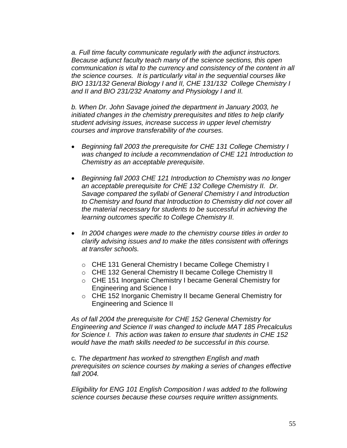*a. Full time faculty communicate regularly with the adjunct instructors. Because adjunct faculty teach many of the science sections, this open communication is vital to the currency and consistency of the content in all the science courses. It is particularly vital in the sequential courses like BIO 131/132 General Biology I and II, CHE 131/132 College Chemistry I and II and BIO 231/232 Anatomy and Physiology I and II.*

*b. When Dr. John Savage joined the department in January 2003, he initiated changes in the chemistry prerequisites and titles to help clarify student advising issues, increase success in upper level chemistry courses and improve transferability of the courses.*

- *Beginning fall 2003 the prerequisite for CHE 131 College Chemistry I was changed to include a recommendation of CHE 121 Introduction to Chemistry as an acceptable prerequisite.*
- *Beginning fall 2003 CHE 121 Introduction to Chemistry was no longer an acceptable prerequisite for CHE 132 College Chemistry II. Dr. Savage compared the syllabi of General Chemistry I and Introduction to Chemistry and found that Introduction to Chemistry did not cover all the material necessary for students to be successful in achieving the learning outcomes specific to College Chemistry II.*
- *In 2004 changes were made to the chemistry course titles in order to clarify advising issues and to make the titles consistent with offerings at transfer schools.*
	- o CHE 131 General Chemistry I became College Chemistry I
	- o CHE 132 General Chemistry II became College Chemistry II
	- o CHE 151 Inorganic Chemistry I became General Chemistry for Engineering and Science I
	- o CHE 152 Inorganic Chemistry II became General Chemistry for Engineering and Science II

*As of fall 2004 the prerequisite for CHE 152 General Chemistry for Engineering and Science II was changed to include MAT 185 Precalculus for Science I. This action was taken to ensure that students in CHE 152 would have the math skills needed to be successful in this course.*

c*. The department has worked to strengthen English and math prerequisites on science courses by making a series of changes effective fall 2004.*

*Eligibility for ENG 101 English Composition I was added to the following science courses because these courses require written assignments.*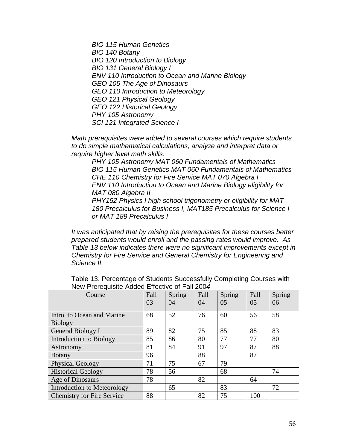*BIO 115 Human Genetics*

*BIO 140 Botany*

*BIO 120 Introduction to Biology*

*BIO 131 General Biology I*

*ENV 110 Introduction to Ocean and Marine Biology*

*GEO 105 The Age of Dinosaurs*

*GEO 110 Introduction to Meteorology*

*GEO 121 Physical Geology*

*GEO 122 Historical Geology*

*PHY 105 Astronomy*

*SCI 121 Integrated Science I*

*Math prerequisites were added to several courses which require students to do simple mathematical calculations, analyze and interpret data or require higher level math skills.*

*PHY 105 Astronomy MAT 060 Fundamentals of Mathematics BIO 115 Human Genetics MAT 060 Fundamentals of Mathematics CHE 110 Chemistry for Fire Service MAT 070 Algebra I ENV 110 Introduction to Ocean and Marine Biology eligibility for MAT 080 Algebra II*

*PHY152 Physics I high school trigonometry or eligibility for MAT 180 Precalculus for Business I, MAT185 Precalculus for Science I or MAT 189 Precalculus I*

*It was anticipated that by raising the prerequisites for these courses better prepared students would enroll and the passing rates would improve. As Table 13 below indicates there were no significant improvements except in Chemistry for Fire Service and General Chemistry for Engineering and Science II.*

| Course                             | Fall | Spring | Fall | Spring | Fall           | Spring |
|------------------------------------|------|--------|------|--------|----------------|--------|
|                                    | 03   | 04     | 04   | 05     | 0 <sub>5</sub> | 06     |
| Intro. to Ocean and Marine         | 68   | 52     | 76   | 60     | 56             | 58     |
| <b>Biology</b>                     |      |        |      |        |                |        |
| General Biology I                  | 89   | 82     | 75   | 85     | 88             | 83     |
| Introduction to Biology            | 85   | 86     | 80   | 77     | 77             | 80     |
| Astronomy                          | 81   | 84     | 91   | 97     | 87             | 88     |
| <b>Botany</b>                      | 96   |        | 88   |        | 87             |        |
| <b>Physical Geology</b>            | 71   | 75     | 67   | 79     |                |        |
| <b>Historical Geology</b>          | 78   | 56     |      | 68     |                | 74     |
| Age of Dinosaurs                   | 78   |        | 82   |        | 64             |        |
| <b>Introduction to Meteorology</b> |      | 65     |      | 83     |                | 72     |
| <b>Chemistry for Fire Service</b>  | 88   |        | 82   | 75     | 100            |        |

Table 13. Percentage of Students Successfully Completing Courses with New Prerequisite Added Effective of Fall 200*4*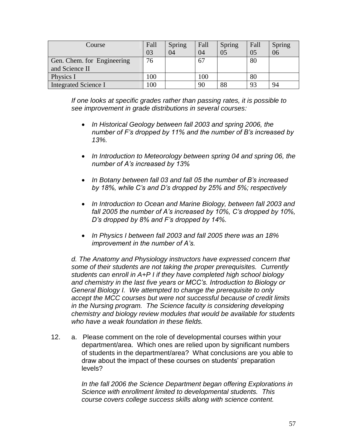| Course                      | Fall<br>03 | Spring<br>04 | Fall<br>04 | Spring<br>05 | Fall<br>05 | Spring<br>06 |
|-----------------------------|------------|--------------|------------|--------------|------------|--------------|
| Gen. Chem. for Engineering  | 76         |              | 67         |              | 80         |              |
| and Science II              |            |              |            |              |            |              |
| Physics I                   | 100        |              | 100        |              | 80         |              |
| <b>Integrated Science I</b> | 100        |              | 90         | 88           | 93         | 94           |

*If one looks at specific grades rather than passing rates, it is possible to see improvement in grade distributions in several courses:*

- *In Historical Geology between fall 2003 and spring 2006, the number of F's dropped by 11% and the number of B's increased by 13%.*
- *In Introduction to Meteorology between spring 04 and spring 06, the number of A's increased by 13%*
- *In Botany between fall 03 and fall 05 the number of B's increased by 18%, while C's and D's dropped by 25% and 5%; respectively*
- *In Introduction to Ocean and Marine Biology, between fall 2003 and fall 2005 the number of A's increased by 10%, C's dropped by 10%, D's dropped by 8% and F's dropped by 14%.*
- *In Physics I between fall 2003 and fall 2005 there was an 18% improvement in the number of A's.*

*d. The Anatomy and Physiology instructors have expressed concern that some of their students are not taking the proper prerequisites. Currently students can enroll in A+P I if they have completed high school biology and chemistry in the last five years or MCC's. Introduction to Biology or General Biology I. We attempted to change the prerequisite to only accept the MCC courses but were not successful because of credit limits in the Nursing program. The Science faculty is considering developing chemistry and biology review modules that would be available for students who have a weak foundation in these fields.*

12. a. Please comment on the role of developmental courses within your department/area. Which ones are relied upon by significant numbers of students in the department/area? What conclusions are you able to draw about the impact of these courses on students" preparation levels?

> *In the fall 2006 the Science Department began offering Explorations in Science with enrollment limited to developmental students. This course covers college success skills along with science content.*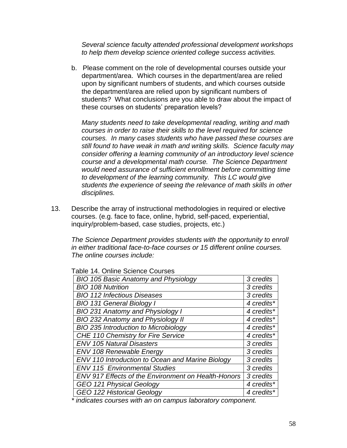*Several science faculty attended professional development workshops to help them develop science oriented college success activities.*

b. Please comment on the role of developmental courses outside your department/area. Which courses in the department/area are relied upon by significant numbers of students, and which courses outside the department/area are relied upon by significant numbers of students? What conclusions are you able to draw about the impact of these courses on students' preparation levels?

*Many students need to take developmental reading, writing and math courses in order to raise their skills to the level required for science courses. In many cases students who have passed these courses are still found to have weak in math and writing skills. Science faculty may consider offering a learning community of an introductory level science course and a developmental math course. The Science Department would need assurance of sufficient enrollment before committing time to development of the learning community. This LC would give students the experience of seeing the relevance of math skills in other disciplines.* 

13. Describe the array of instructional methodologies in required or elective courses. (e.g. face to face, online, hybrid, self-paced, experiential, inquiry/problem-based, case studies, projects, etc.)

*The Science Department provides students with the opportunity to enroll in either traditional face-to-face courses or 15 different online courses. The online courses include:*

| BIO 105 Basic Anatomy and Physiology                       | 3 credits  |
|------------------------------------------------------------|------------|
| <b>BIO 108 Nutrition</b>                                   | 3 credits  |
| <b>BIO 112 Infectious Diseases</b>                         | 3 credits  |
| <b>BIO 131 General Biology I</b>                           | 4 credits* |
| BIO 231 Anatomy and Physiology I                           | 4 credits* |
| BIO 232 Anatomy and Physiology II                          | 4 credits* |
| BIO 235 Introduction to Microbiology                       | 4 credits* |
| CHE 110 Chemistry for Fire Service                         | 4 credits* |
| <b>ENV 105 Natural Disasters</b>                           | 3 credits  |
| <b>ENV 108 Renewable Energy</b>                            | 3 credits  |
| ENV 110 Introduction to Ocean and Marine Biology           | 3 credits  |
| <b>ENV 115 Environmental Studies</b>                       | 3 credits  |
| <b>ENV 917 Effects of the Environment on Health-Honors</b> | 3 credits  |
| GEO 121 Physical Geology                                   | 4 credits* |
| <b>GEO 122 Historical Geology</b>                          | 4 credits* |

Table 14. Online Science Courses

*\* indicates courses with an on campus laboratory component.*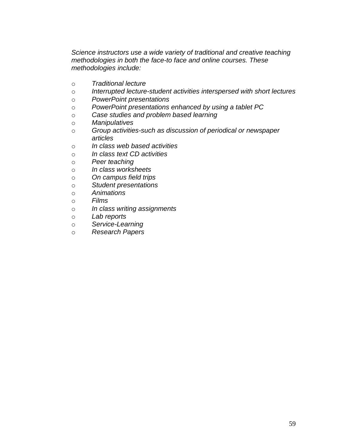*Science instructors use a wide variety of traditional and creative teaching methodologies in both the face-to face and online courses. These methodologies include:*

- o *Traditional lecture*
- o *Interrupted lecture-student activities interspersed with short lectures*
- o *PowerPoint presentations*
- o *PowerPoint presentations enhanced by using a tablet PC*
- o *Case studies and problem based learning*
- o *Manipulatives*
- o *Group activities-such as discussion of periodical or newspaper articles*
- o *In class web based activities*
- o *In class text CD activities*
- o *Peer teaching*
- o *In class worksheets*
- o *On campus field trips*
- o *Student presentations*
- o *Animations*
- o *Films*
- o *In class writing assignments*
- o *Lab reports*
- o *Service-Learning*
- o *Research Papers*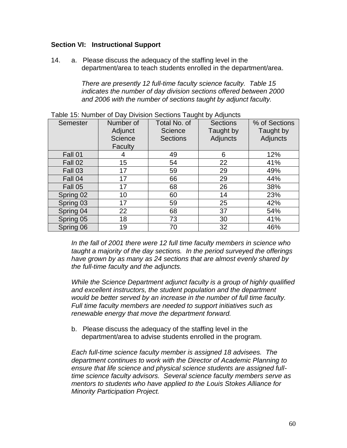# **Section VI: Instructional Support**

14. a. Please discuss the adequacy of the staffing level in the department/area to teach students enrolled in the department/area.

> *There are presently 12 full-time faculty science faculty. Table 15 indicates the number of day division sections offered between 2000 and 2006 with the number of sections taught by adjunct faculty.*

| Semester  | Number of<br>Adjunct<br>Science<br>Faculty | Total No. of<br><b>Science</b><br><b>Sections</b> | <b>Sections</b><br>Taught by<br>Adjuncts | % of Sections<br>Taught by<br>Adjuncts |
|-----------|--------------------------------------------|---------------------------------------------------|------------------------------------------|----------------------------------------|
| Fall 01   | 4                                          | 49                                                | 6                                        | 12%                                    |
| Fall 02   | 15                                         | 54                                                | 22                                       | 41%                                    |
| Fall 03   | 17                                         | 59                                                | 29                                       | 49%                                    |
| Fall 04   | 17                                         | 66                                                | 29                                       | 44%                                    |
| Fall 05   | 17                                         | 68                                                | 26                                       | 38%                                    |
| Spring 02 | 10                                         | 60                                                | 14                                       | 23%                                    |
| Spring 03 | 17                                         | 59                                                | 25                                       | 42%                                    |
| Spring 04 | 22                                         | 68                                                | 37                                       | 54%                                    |
| Spring 05 | 18                                         | 73                                                | 30                                       | 41%                                    |
| Spring 06 | 19                                         | 70                                                | 32                                       | 46%                                    |

Table 15: Number of Day Division Sections Taught by Adjuncts

*In the fall of 2001 there were 12 full time faculty members in science who taught a majority of the day sections. In the period surveyed the offerings have grown by as many as 24 sections that are almost evenly shared by the full-time faculty and the adjuncts.*

*While the Science Department adjunct faculty is a group of highly qualified and excellent instructors, the student population and the department would be better served by an increase in the number of full time faculty. Full time faculty members are needed to support initiatives such as renewable energy that move the department forward.*

b. Please discuss the adequacy of the staffing level in the department/area to advise students enrolled in the program.

*Each full-time science faculty member is assigned 18 advisees. The department continues to work with the Director of Academic Planning to ensure that life science and physical science students are assigned fulltime science faculty advisors. Several science faculty members serve as mentors to students who have applied to the Louis Stokes Alliance for Minority Participation Project.*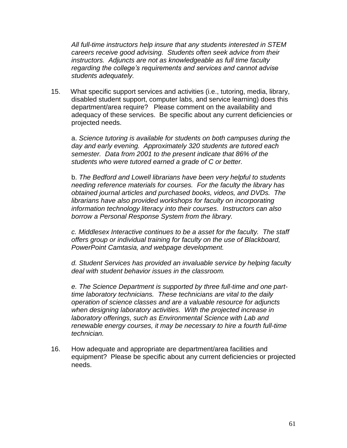*All full-time instructors help insure that any students interested in STEM careers receive good advising. Students often seek advice from their instructors. Adjuncts are not as knowledgeable as full time faculty regarding the college's requirements and services and cannot advise students adequately.* 

15. What specific support services and activities (i.e., tutoring, media, library, disabled student support, computer labs, and service learning) does this department/area require? Please comment on the availability and adequacy of these services. Be specific about any current deficiencies or projected needs.

a. *Science tutoring is available for students on both campuses during the day and early evening. Approximately 320 students are tutored each semester. Data from 2001 to the present indicate that 86% of the students who were tutored earned a grade of C or better.*

b. *The Bedford and Lowell librarians have been very helpful to students needing reference materials for courses. For the faculty the library has obtained journal articles and purchased books, videos, and DVDs. The librarians have also provided workshops for faculty on incorporating information technology literacy into their courses. Instructors can also borrow a Personal Response System from the library.*

*c. Middlesex Interactive continues to be a asset for the faculty. The staff offers group or individual training for faculty on the use of Blackboard, PowerPoint Camtasia, and webpage development.* 

*d. Student Services has provided an invaluable service by helping faculty deal with student behavior issues in the classroom.*

*e. The Science Department is supported by three full-time and one parttime laboratory technicians. These technicians are vital to the daily operation of science classes and are a valuable resource for adjuncts when designing laboratory activities. With the projected increase in laboratory offerings, such as Environmental Science with Lab and renewable energy courses, it may be necessary to hire a fourth full-time technician.*

16. How adequate and appropriate are department/area facilities and equipment? Please be specific about any current deficiencies or projected needs.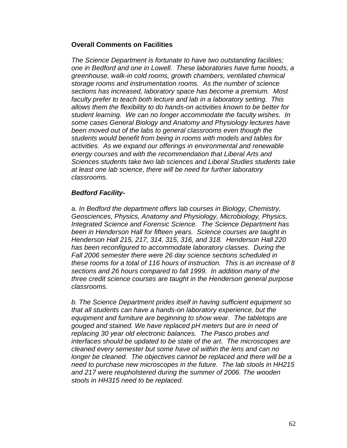#### **Overall Comments on Facilities**

*The Science Department is fortunate to have two outstanding facilities; one in Bedford and one in Lowell. These laboratories have fume hoods, a greenhouse, walk-in cold rooms, growth chambers, ventilated chemical storage rooms and instrumentation rooms. As the number of science sections has increased, laboratory space has become a premium. Most faculty prefer to teach both lecture and lab in a laboratory setting. This allows them the flexibility to do hands-on activities known to be better for student learning. We can no longer accommodate the faculty wishes. In some cases General Biology and Anatomy and Physiology lectures have been moved out of the labs to general classrooms even though the students would benefit from being in rooms with models and tables for activities. As we expand our offerings in environmental and renewable energy courses and with the recommendation that Liberal Arts and Sciences students take two lab sciences and Liberal Studies students take at least one lab science, there will be need for further laboratory classrooms.*

# *Bedford Facility-*

a. *In Bedford the department offers lab courses in Biology, Chemistry, Geosciences, Physics, Anatomy and Physiology, Microbiology, Physics, Integrated Science and Forensic Science. The Science Department has been in Henderson Hall for fifteen years. Science courses are taught in Henderson Hall 215, 217, 314, 315, 316, and 318. Henderson Hall 220 has been reconfigured to accommodate laboratory classes. During the Fall 2006 semester there were 26 day science sections scheduled in these rooms for a total of 116 hours of instruction. This is an increase of 8 sections and 26 hours compared to fall 1999. In addition many of the three credit science courses are taught in the Henderson general purpose classrooms.* 

*b. The Science Department prides itself in having sufficient equipment so that all students can have a hands-on laboratory experience, but the equipment and furniture are beginning to show wear. The tabletops are gouged and stained. We have replaced pH meters but are in need of replacing 30 year old electronic balances. The Pasco probes and interfaces should be updated to be state of the art. The microscopes are cleaned every semester but some have oil within the lens and can no longer be cleaned. The objectives cannot be replaced and there will be a need to purchase new microscopes in the future. The lab stools in HH215 and 217 were reupholstered during the summer of 2006. The wooden stools in HH315 need to be replaced.*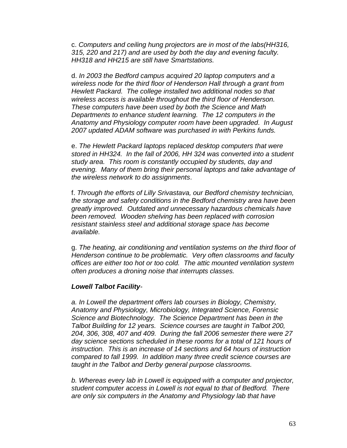c. *Computers and ceiling hung projectors are in most of the labs(HH316, 315, 220 and 217) and are used by both the day and evening faculty. HH318 and HH215 are still have Smartstations.*

d. *In 2003 the Bedford campus acquired 20 laptop computers and a wireless node for the third floor of Henderson Hall through a grant from Hewlett Packard. The college installed two additional nodes so that wireless access is available throughout the third floor of Henderson. These computers have been used by both the Science and Math Departments to enhance student learning. The 12 computers in the Anatomy and Physiology computer room have been upgraded. In August 2007 updated ADAM software was purchased in with Perkins funds.*

e. *The Hewlett Packard laptops replaced desktop computers that were stored in HH324. In the fall of 2006, HH 324 was converted into a student study area. This room is constantly occupied by students, day and evening. Many of them bring their personal laptops and take advantage of the wireless network to do assignments*.

f. *Through the efforts of Lilly Srivastava, our Bedford chemistry technician, the storage and safety conditions in the Bedford chemistry area have been greatly improved. Outdated and unnecessary hazardous chemicals have been removed. Wooden shelving has been replaced with corrosion resistant stainless steel and additional storage space has become available.*

g. *The heating, air conditioning and ventilation systems on the third floor of Henderson continue to be problematic. Very often classrooms and faculty offices are either too hot or too cold. The attic mounted ventilation system often produces a droning noise that interrupts classes.*

#### *Lowell Talbot Facility-*

*a. In Lowell the department offers lab courses in Biology, Chemistry, Anatomy and Physiology, Microbiology, Integrated Science, Forensic Science and Biotechnology. The Science Department has been in the Talbot Building for 12 years. Science courses are taught in Talbot 200, 204, 306, 308, 407 and 409. During the fall 2006 semester there were 27 day science sections scheduled in these rooms for a total of 121 hours of instruction. This is an increase of 14 sections and 64 hours of instruction compared to fall 1999. In addition many three credit science courses are taught in the Talbot and Derby general purpose classrooms.* 

*b. Whereas every lab in Lowell is equipped with a computer and projector, student computer access in Lowell is not equal to that of Bedford. There are only six computers in the Anatomy and Physiology lab that have*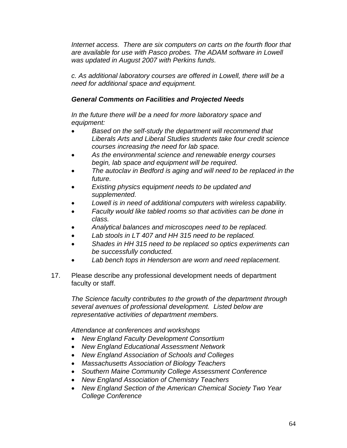*Internet access. There are six computers on carts on the fourth floor that are available for use with Pasco probes. The ADAM software in Lowell was updated in August 2007 with Perkins funds.*

*c. As additional laboratory courses are offered in Lowell, there will be a need for additional space and equipment.*

# *General Comments on Facilities and Projected Needs*

*In the future there will be a need for more laboratory space and equipment:*

- *Based on the self-study the department will recommend that Liberals Arts and Liberal Studies students take four credit science courses increasing the need for lab space.*
- *As the environmental science and renewable energy courses begin, lab space and equipment will be required.*
- *The autoclav in Bedford is aging and will need to be replaced in the future.*
- *Existing physics equipment needs to be updated and supplemented.*
- *Lowell is in need of additional computers with wireless capability.*
- *Faculty would like tabled rooms so that activities can be done in class.*
- *Analytical balances and microscopes need to be replaced.*
- *Lab stools in LT 407 and HH 315 need to be replaced.*
- *Shades in HH 315 need to be replaced so optics experiments can be successfully conducted.*
- *Lab bench tops in Henderson are worn and need replacement.*
- 17. Please describe any professional development needs of department faculty or staff.

*The Science faculty contributes to the growth of the department through several avenues of professional development. Listed below are representative activities of department members.*

*Attendance at conferences and workshops* 

- *New England Faculty Development Consortium*
- *New England Educational Assessment Network*
- *New England Association of Schools and Colleges*
- *Massachusetts Association of Biology Teachers*
- *Southern Maine Community College Assessment Conference*
- *New England Association of Chemistry Teachers*
- *New England Section of the American Chemical Society Two Year College Conference*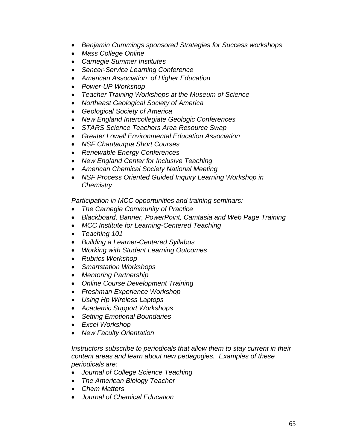- *Benjamin Cummings sponsored Strategies for Success workshops*
- *Mass College Online*
- *Carnegie Summer Institutes*
- *Sencer-Service Learning Conference*
- *American Association of Higher Education*
- *Power-UP Workshop*
- *Teacher Training Workshops at the Museum of Science*
- *Northeast Geological Society of America*
- *Geological Society of America*
- *New England Intercollegiate Geologic Conferences*
- *STARS Science Teachers Area Resource Swap*
- *Greater Lowell Environmental Education Association*
- *NSF Chautauqua Short Courses*
- *Renewable Energy Conferences*
- *New England Center for Inclusive Teaching*
- *American Chemical Society National Meeting*
- *NSF Process Oriented Guided Inquiry Learning Workshop in Chemistry*

*Participation in MCC opportunities and training seminars:*

- *The Carnegie Community of Practice*
- *Blackboard, Banner, PowerPoint, Camtasia and Web Page Training*
- *MCC Institute for Learning-Centered Teaching*
- *Teaching 101*
- *Building a Learner-Centered Syllabus*
- *Working with Student Learning Outcomes*
- *Rubrics Workshop*
- *Smartstation Workshops*
- *Mentoring Partnership*
- *Online Course Development Training*
- *Freshman Experience Workshop*
- *Using Hp Wireless Laptops*
- *Academic Support Workshops*
- *Setting Emotional Boundaries*
- *Excel Workshop*
- *New Faculty Orientation*

*Instructors subscribe to periodicals that allow them to stay current in their content areas and learn about new pedagogies. Examples of these periodicals are:*

- *Journal of College Science Teaching*
- *The American Biology Teacher*
- *Chem Matters*
- *Journal of Chemical Education*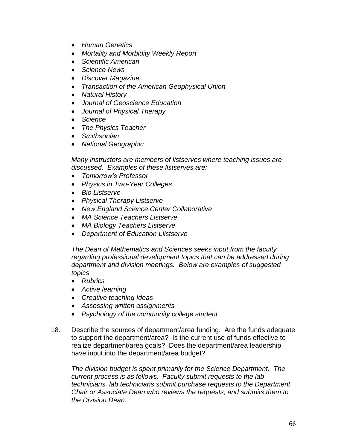- *Human Genetics*
- *Mortality and Morbidity Weekly Report*
- *Scientific American*
- *Science News*
- *Discover Magazine*
- *Transaction of the American Geophysical Union*
- *Natural History*
- *Journal of Geoscience Education*
- *Journal of Physical Therapy*
- *Science*
- *The Physics Teacher*
- *Smithsonian*
- *National Geographic*

*Many instructors are members of listserves where teaching issues are discussed. Examples of these listserves are:*

- *Tomorrow's Professor*
- *Physics in Two-Year Colleges*
- *Bio Listserve*
- *Physical Therapy Listserve*
- *New England Science Center Collaborative*
- *MA Science Teachers Listserve*
- *MA Biology Teachers Listserve*
- *Department of Education Llistserve*

*The Dean of Mathematics and Sciences seeks input from the faculty regarding professional development topics that can be addressed during department and division meetings. Below are examples of suggested topics*

- *Rubrics*
- *Active learning*
- *Creative teaching Ideas*
- *Assessing written assignments*
- *Psychology of the community college student*
- 18. Describe the sources of department/area funding. Are the funds adequate to support the department/area? Is the current use of funds effective to realize department/area goals? Does the department/area leadership have input into the department/area budget?

*The division budget is spent primarily for the Science Department. The current process is as follows: Faculty submit requests to the lab technicians, lab technicians submit purchase requests to the Department Chair or Associate Dean who reviews the requests, and submits them to the Division Dean.*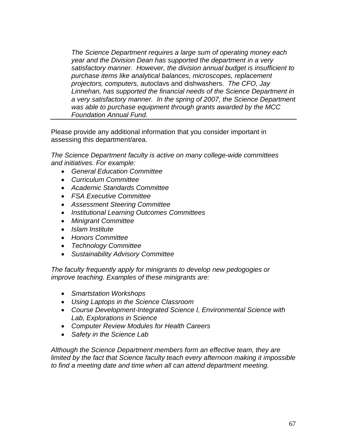*The Science Department requires a large sum of operating money each year and the Division Dean has supported the department in a very satisfactory manner. However, the division annual budget is insufficient to purchase items like analytical balances, microscopes, replacement projectors, computers,* autoclavs and dishwashers. *The CFO, Jay Linnehan, has supported the financial needs of the Science Department in a very satisfactory manner. In the spring of 2007, the Science Department was able to purchase equipment through grants awarded by the MCC Foundation Annual Fund.*

Please provide any additional information that you consider important in assessing this department/area.

*The Science Department faculty is active on many college-wide committees and initiatives. For example:*

- *General Education Committee*
- *Curriculum Committee*
- *Academic Standards Committee*
- *FSA Executive Committee*
- *Assessment Steering Committee*
- *Institutional Learning Outcomes Committees*
- *Minigrant Committee*
- *Islam Institute*
- *Honors Committee*
- *Technology Committee*
- *Sustainability Advisory Committee*

*The faculty frequently apply for minigrants to develop new pedogogies or improve teaching. Examples of these minigrants are:*

- *Smartstation Workshops*
- *Using Laptops in the Science Classroom*
- *Course Development-Integrated Science I, Environmental Science with Lab, Explorations in Science*
- *Computer Review Modules for Health Careers*
- *Safety in the Science Lab*

*Although the Science Department members form an effective team, they are limited by the fact that Science faculty teach every afternoon making it impossible to find a meeting date and time when all can attend department meeting.*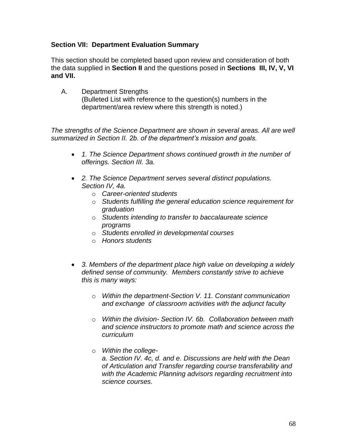# **Section VII: Department Evaluation Summary**

This section should be completed based upon review and consideration of both the data supplied in **Section II** and the questions posed in **Sections III, IV, V, VI and VII.**

A. Department Strengths (Bulleted List with reference to the question(s) numbers in the department/area review where this strength is noted.)

*The strengths of the Science Department are shown in several areas. All are well summarized in Section II. 2b. of the department's mission and goals.* 

- *1. The Science Department shows continued growth in the number of offerings. Section III. 3a.*
- *2. The Science Department serves several distinct populations. Section IV, 4a.* 
	- o *Career-oriented students*
	- o *Students fulfilling the general education science requirement for graduation*
	- o *Students intending to transfer to baccalaureate science programs*
	- o *Students enrolled in developmental courses*
	- o *Honors students*
- *3. Members of the department place high value on developing a widely defined sense of community. Members constantly strive to achieve this is many ways:* 
	- o *Within the department-Section V. 11. Constant communication and exchange of classroom activities with the adjunct faculty*
	- o *Within the division- Section IV. 6b. Collaboration between math and science instructors to promote math and science across the curriculum*
	- o *Within the college-*

*a. Section IV. 4c, d. and e. Discussions are held with the Dean of Articulation and Transfer regarding course transferability and with the Academic Planning advisors regarding recruitment into science courses.*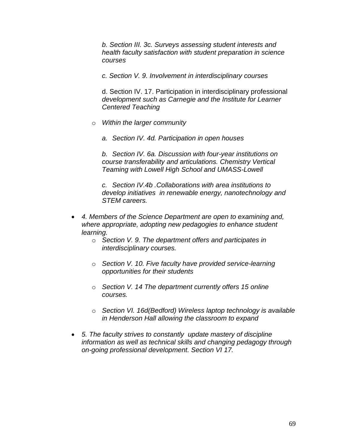*b. Section III. 3c. Surveys assessing student interests and health faculty satisfaction with student preparation in science courses*

*c. Section V. 9. Involvement in interdisciplinary courses*

d. Section IV. 17. Participation in interdisciplinary professional *development such as Carnegie and the Institute for Learner Centered Teaching*

- o *Within the larger community*
	- *a. Section IV. 4d. Participation in open houses*

*b. Section IV. 6a. Discussion with four-year institutions on course transferability and articulations. Chemistry Vertical Teaming with Lowell High School and UMASS-Lowell*

*c. Section IV.4b .Collaborations with area institutions to develop initiatives in renewable energy, nanotechnology and STEM careers.*

- *4. Members of the Science Department are open to examining and, where appropriate, adopting new pedagogies to enhance student learning.*
	- o *Section V. 9. The department offers and participates in interdisciplinary courses.*
	- o *Section V. 10. Five faculty have provided service-learning opportunities for their students*
	- o *Section V. 14 The department currently offers 15 online courses.*
	- o *Section VI. 16d(Bedford) Wireless laptop technology is available in Henderson Hall allowing the classroom to expand*
- *5. The faculty strives to constantly update mastery of discipline information as well as technical skills and changing pedagogy through on-going professional development. Section VI 17.*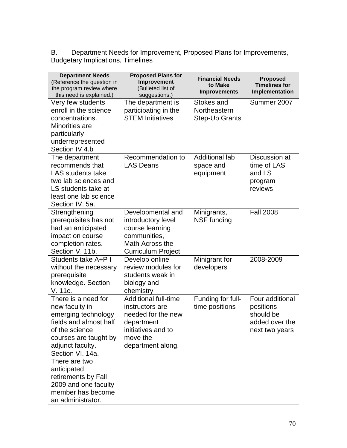B. Department Needs for Improvement, Proposed Plans for Improvements, Budgetary Implications, Timelines

| <b>Department Needs</b><br>(Reference the question in<br>the program review where<br>this need is explained.)                                                                                                                                                                                      | <b>Proposed Plans for</b><br>Improvement<br>(Bulleted list of<br>suggestions.)                                                            | <b>Financial Needs</b><br>to Make<br><b>Improvements</b> | <b>Proposed</b><br><b>Timelines for</b><br>Implementation                     |
|----------------------------------------------------------------------------------------------------------------------------------------------------------------------------------------------------------------------------------------------------------------------------------------------------|-------------------------------------------------------------------------------------------------------------------------------------------|----------------------------------------------------------|-------------------------------------------------------------------------------|
| Very few students<br>enroll in the science<br>concentrations.<br>Minorities are<br>particularly<br>underrepresented<br>Section IV 4.b                                                                                                                                                              | The department is<br>participating in the<br><b>STEM Initiatives</b>                                                                      | Stokes and<br>Northeastern<br><b>Step-Up Grants</b>      | Summer 2007                                                                   |
| The department<br>recommends that<br><b>LAS</b> students take<br>two lab sciences and<br>LS students take at<br>least one lab science<br>Section IV. 5a.                                                                                                                                           | Recommendation to<br><b>LAS Deans</b>                                                                                                     | <b>Additional lab</b><br>space and<br>equipment          | Discussion at<br>time of LAS<br>and LS<br>program<br>reviews                  |
| Strengthening<br>prerequisites has not<br>had an anticipated<br>impact on course<br>completion rates.<br>Section V. 11b.                                                                                                                                                                           | Developmental and<br>introductory level<br>course learning<br>communities,<br>Math Across the<br><b>Curriculum Project</b>                | Minigrants,<br><b>NSF funding</b>                        | <b>Fall 2008</b>                                                              |
| Students take A+P I<br>without the necessary<br>prerequisite<br>knowledge. Section<br>V. 11c.                                                                                                                                                                                                      | Develop online<br>review modules for<br>students weak in<br>biology and<br>chemistry                                                      | Minigrant for<br>developers                              | 2008-2009                                                                     |
| There is a need for<br>new faculty in<br>emerging technology<br>fields and almost half<br>of the science<br>courses are taught by<br>adjunct faculty.<br>Section VI. 14a.<br>There are two<br>anticipated<br>retirements by Fall<br>2009 and one faculty<br>member has become<br>an administrator. | <b>Additional full-time</b><br>instructors are<br>needed for the new<br>department<br>initiatives and to<br>move the<br>department along. | Funding for full-<br>time positions                      | Four additional<br>positions<br>should be<br>added over the<br>next two years |